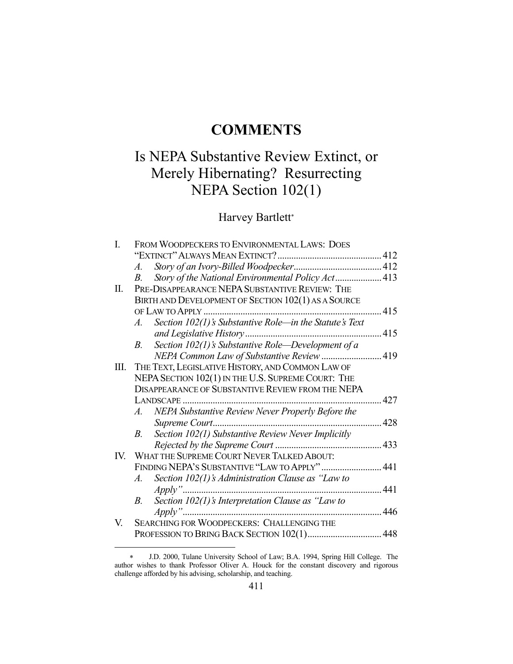# **COMMENTS**

# Is NEPA Substantive Review Extinct, or Merely Hibernating? Resurrecting NEPA Section 102(1)

# Harvey Bartlett\*

| I.  | FROM WOODPECKERS TO ENVIRONMENTAL LAWS: DOES                     |      |
|-----|------------------------------------------------------------------|------|
|     |                                                                  |      |
|     | A.                                                               |      |
|     | Story of the National Environmental Policy Act 413<br>В.         |      |
| П.  | PRE-DISAPPEARANCE NEPA SUBSTANTIVE REVIEW: THE                   |      |
|     | BIRTH AND DEVELOPMENT OF SECTION 102(1) AS A SOURCE              |      |
|     |                                                                  |      |
|     | Section $102(1)$ 's Substantive Role-in the Statute's Text<br>A. |      |
|     |                                                                  | 415  |
|     | Section $102(1)$ 's Substantive Role-Development of a<br>B.      |      |
|     | NEPA Common Law of Substantive Review  419                       |      |
| Ш.  | THE TEXT, LEGISLATIVE HISTORY, AND COMMON LAW OF                 |      |
|     | NEPA SECTION 102(1) IN THE U.S. SUPREME COURT: THE               |      |
|     | <b>DISAPPEARANCE OF SUBSTANTIVE REVIEW FROM THE NEPA</b>         |      |
|     |                                                                  | .427 |
|     | A. NEPA Substantive Review Never Properly Before the             |      |
|     | Supreme Court                                                    | 428  |
|     | Section 102(1) Substantive Review Never Implicitly<br>$B_{-}$    |      |
|     |                                                                  | .433 |
| IV. | WHAT THE SUPREME COURT NEVER TALKED ABOUT:                       |      |
|     | FINDING NEPA'S SUBSTANTIVE "LAW TO APPLY"  441                   |      |
|     | Section $102(1)$ 's Administration Clause as "Law to"<br>$A$ .   |      |
|     |                                                                  | 441  |
|     | Section $102(1)$ 's Interpretation Clause as "Law to"<br>В.      |      |
|     |                                                                  | 446  |
| V.  | SEARCHING FOR WOODPECKERS: CHALLENGING THE                       |      |
|     |                                                                  | 448  |

J.D. 2000, Tulane University School of Law; B.A. 1994, Spring Hill College. The author wishes to thank Professor Oliver A. Houck for the constant discovery and rigorous challenge afforded by his advising, scholarship, and teaching.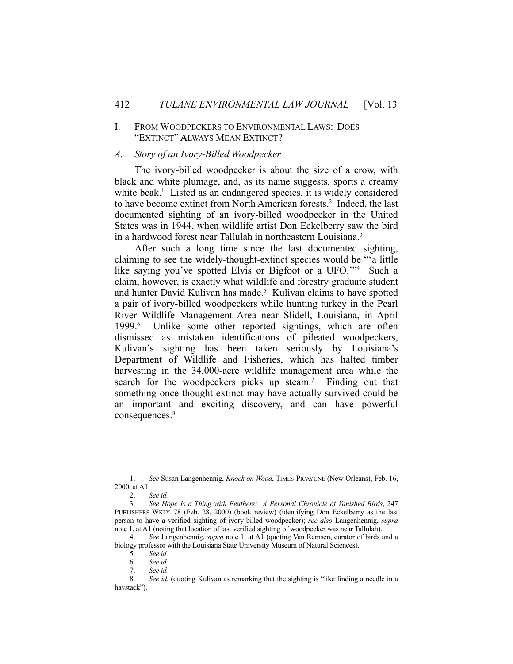#### I. FROM WOODPECKERS TO ENVIRONMENTAL LAWS: DOES "EXTINCT" ALWAYS MEAN EXTINCT?

#### *A. Story of an Ivory-Billed Woodpecker*

 The ivory-billed woodpecker is about the size of a crow, with black and white plumage, and, as its name suggests, sports a creamy white beak.<sup>1</sup> Listed as an endangered species, it is widely considered to have become extinct from North American forests.<sup>2</sup> Indeed, the last documented sighting of an ivory-billed woodpecker in the United States was in 1944, when wildlife artist Don Eckelberry saw the bird in a hardwood forest near Tallulah in northeastern Louisiana.3

 After such a long time since the last documented sighting, claiming to see the widely-thought-extinct species would be "'a little like saying you've spotted Elvis or Bigfoot or a UFO.'"4 Such a claim, however, is exactly what wildlife and forestry graduate student and hunter David Kulivan has made.<sup>5</sup> Kulivan claims to have spotted a pair of ivory-billed woodpeckers while hunting turkey in the Pearl River Wildlife Management Area near Slidell, Louisiana, in April 1999.6 Unlike some other reported sightings, which are often dismissed as mistaken identifications of pileated woodpeckers, Kulivan's sighting has been taken seriously by Louisiana's Department of Wildlife and Fisheries, which has halted timber harvesting in the 34,000-acre wildlife management area while the search for the woodpeckers picks up steam.<sup>7</sup> Finding out that something once thought extinct may have actually survived could be an important and exciting discovery, and can have powerful consequences.<sup>8</sup>

 <sup>1.</sup> *See* Susan Langenhennig, *Knock on Wood*, TIMES-PICAYUNE (New Orleans), Feb. 16, 2000, at A1.

 <sup>2.</sup> *See id.*

 <sup>3.</sup> *See Hope Is a Thing with Feathers: A Personal Chronicle of Vanished Birds*, 247 PUBLISHERS WKLY. 78 (Feb. 28, 2000) (book review) (identifying Don Eckelberry as the last person to have a verified sighting of ivory-billed woodpecker); *see also* Langenhennig, *supra* note 1, at A1 (noting that location of last verified sighting of woodpecker was near Tallulah).

 <sup>4.</sup> *See* Langenhennig, *supra* note 1, at A1 (quoting Van Remsen, curator of birds and a biology professor with the Louisiana State University Museum of Natural Sciences).

 <sup>5.</sup> *See id.*

 <sup>6.</sup> *See id.*

 <sup>7.</sup> *See id.*

 <sup>8.</sup> *See id.* (quoting Kulivan as remarking that the sighting is "like finding a needle in a haystack").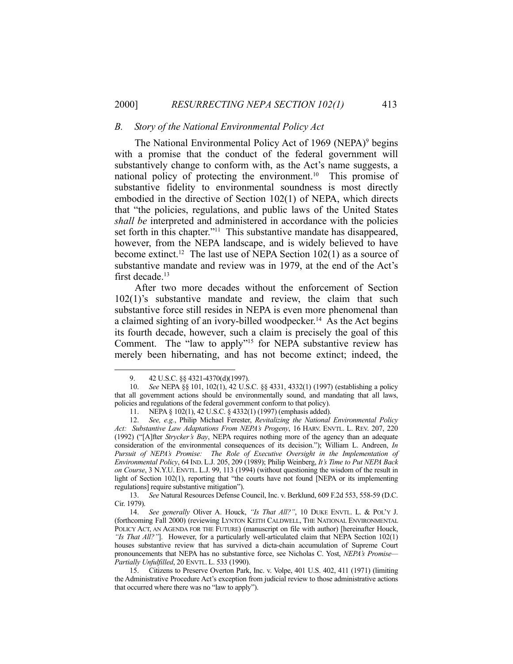#### *B. Story of the National Environmental Policy Act*

The National Environmental Policy Act of 1969 (NEPA)<sup>9</sup> begins with a promise that the conduct of the federal government will substantively change to conform with, as the Act's name suggests, a national policy of protecting the environment.10 This promise of substantive fidelity to environmental soundness is most directly embodied in the directive of Section 102(1) of NEPA, which directs that "the policies, regulations, and public laws of the United States *shall be* interpreted and administered in accordance with the policies set forth in this chapter."<sup>11</sup> This substantive mandate has disappeared, however, from the NEPA landscape, and is widely believed to have become extinct.<sup>12</sup> The last use of NEPA Section  $102(1)$  as a source of substantive mandate and review was in 1979, at the end of the Act's first decade.<sup>13</sup>

 After two more decades without the enforcement of Section 102(1)'s substantive mandate and review, the claim that such substantive force still resides in NEPA is even more phenomenal than a claimed sighting of an ivory-billed woodpecker.<sup>14</sup> As the Act begins its fourth decade, however, such a claim is precisely the goal of this Comment. The "law to apply"15 for NEPA substantive review has merely been hibernating, and has not become extinct; indeed, the

1

 13. *See* Natural Resources Defense Council, Inc. v. Berklund, 609 F.2d 553, 558-59 (D.C. Cir. 1979).

<sup>9. 42</sup> U.S.C. §§ 4321-4370(d)(1997).

 <sup>10.</sup> *See* NEPA §§ 101, 102(1), 42 U.S.C. §§ 4331, 4332(1) (1997) (establishing a policy that all government actions should be environmentally sound, and mandating that all laws, policies and regulations of the federal government conform to that policy).

<sup>11.</sup> NEPA § 102(1), 42 U.S.C. § 4332(1) (1997) (emphasis added).<br>12. See, e.g., Philip Michael Egrector  $P$  mituli

 <sup>12.</sup> *See, e.g.*, Philip Michael Ferester, *Revitalizing the National Environmental Policy Act: Substantive Law Adaptations From NEPA's Progeny*, 16 HARV. ENVTL. L. REV. 207, 220 (1992) ("[A]fter *Strycker's Bay*, NEPA requires nothing more of the agency than an adequate consideration of the environmental consequences of its decision."); William L. Andreen, *In Pursuit of NEPA's Promise: The Role of Executive Oversight in the Implementation of Environmental Policy*, 64 IND. L.J. 205, 209 (1989); Philip Weinberg, *It's Time to Put NEPA Back on Course*, 3 N.Y.U. ENVTL. L.J. 99, 113 (1994) (without questioning the wisdom of the result in light of Section 102(1), reporting that "the courts have not found [NEPA or its implementing regulations] require substantive mitigation").

See generally Oliver A. Houck, "Is That All?", 10 DUKE ENVTL. L. & POL'Y J. (forthcoming Fall 2000) (reviewing LYNTON KEITH CALDWELL, THE NATIONAL ENVIRONMENTAL POLICY ACT, AN AGENDA FOR THE FUTURE) (manuscript on file with author) [hereinafter Houck, *"Is That All?"*]. However, for a particularly well-articulated claim that NEPA Section 102(1) houses substantive review that has survived a dicta-chain accumulation of Supreme Court pronouncements that NEPA has no substantive force, see Nicholas C. Yost, *NEPA's Promise— Partially Unfulfilled*, 20 ENVTL. L. 533 (1990).

 <sup>15.</sup> Citizens to Preserve Overton Park, Inc. v. Volpe, 401 U.S. 402, 411 (1971) (limiting the Administrative Procedure Act's exception from judicial review to those administrative actions that occurred where there was no "law to apply").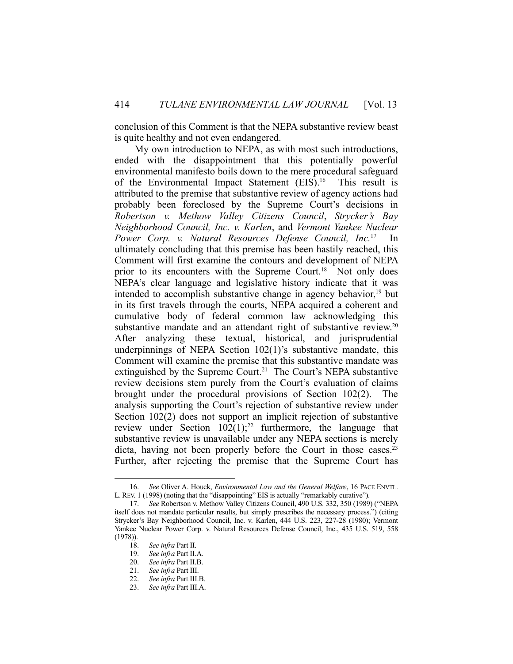conclusion of this Comment is that the NEPA substantive review beast is quite healthy and not even endangered.

 My own introduction to NEPA, as with most such introductions, ended with the disappointment that this potentially powerful environmental manifesto boils down to the mere procedural safeguard of the Environmental Impact Statement (EIS).<sup>16</sup> This result is attributed to the premise that substantive review of agency actions had probably been foreclosed by the Supreme Court's decisions in *Robertson v. Methow Valley Citizens Council*, *Strycker's Bay Neighborhood Council, Inc. v. Karlen*, and *Vermont Yankee Nuclear Power Corp. v. Natural Resources Defense Council, Inc.*17 In ultimately concluding that this premise has been hastily reached, this Comment will first examine the contours and development of NEPA prior to its encounters with the Supreme Court.<sup>18</sup> Not only does NEPA's clear language and legislative history indicate that it was intended to accomplish substantive change in agency behavior, $19$  but in its first travels through the courts, NEPA acquired a coherent and cumulative body of federal common law acknowledging this substantive mandate and an attendant right of substantive review.<sup>20</sup> After analyzing these textual, historical, and jurisprudential underpinnings of NEPA Section 102(1)'s substantive mandate, this Comment will examine the premise that this substantive mandate was extinguished by the Supreme Court.<sup>21</sup> The Court's NEPA substantive review decisions stem purely from the Court's evaluation of claims brought under the procedural provisions of Section 102(2). The analysis supporting the Court's rejection of substantive review under Section 102(2) does not support an implicit rejection of substantive review under Section  $102(1)$ ;<sup>22</sup> furthermore, the language that substantive review is unavailable under any NEPA sections is merely dicta, having not been properly before the Court in those cases. 23 Further, after rejecting the premise that the Supreme Court has

 <sup>16.</sup> *See* Oliver A. Houck, *Environmental Law and the General Welfare*, 16 PACE ENVTL. L.REV. 1 (1998) (noting that the "disappointing" EIS is actually "remarkably curative").

 <sup>17.</sup> *See* Robertson v. Methow Valley Citizens Council, 490 U.S. 332, 350 (1989) ("NEPA itself does not mandate particular results, but simply prescribes the necessary process.") (citing Strycker's Bay Neighborhood Council, Inc. v. Karlen, 444 U.S. 223, 227-28 (1980); Vermont Yankee Nuclear Power Corp. v. Natural Resources Defense Council, Inc., 435 U.S. 519, 558 (1978)).

 <sup>18.</sup> *See infra* Part II.

 <sup>19.</sup> *See infra* Part II.A.

 <sup>20.</sup> *See infra* Part II.B.

 <sup>21.</sup> *See infra* Part III.

 <sup>22.</sup> *See infra* Part III.B.

 <sup>23.</sup> *See infra* Part III.A.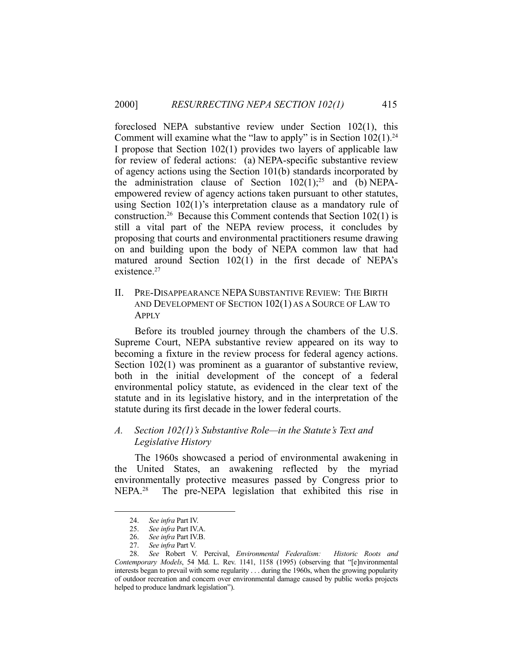foreclosed NEPA substantive review under Section 102(1), this Comment will examine what the "law to apply" is in Section  $102(1)$ .<sup>24</sup> I propose that Section 102(1) provides two layers of applicable law for review of federal actions: (a) NEPA-specific substantive review of agency actions using the Section 101(b) standards incorporated by the administration clause of Section  $102(1)$ ;<sup>25</sup> and (b) NEPAempowered review of agency actions taken pursuant to other statutes, using Section 102(1)'s interpretation clause as a mandatory rule of construction.<sup>26</sup> Because this Comment contends that Section 102(1) is still a vital part of the NEPA review process, it concludes by proposing that courts and environmental practitioners resume drawing on and building upon the body of NEPA common law that had matured around Section 102(1) in the first decade of NEPA's existence.<sup>27</sup>

II. PRE-DISAPPEARANCE NEPASUBSTANTIVE REVIEW: THE BIRTH AND DEVELOPMENT OF SECTION 102(1) AS A SOURCE OF LAW TO APPLY

 Before its troubled journey through the chambers of the U.S. Supreme Court, NEPA substantive review appeared on its way to becoming a fixture in the review process for federal agency actions. Section 102(1) was prominent as a guarantor of substantive review, both in the initial development of the concept of a federal environmental policy statute, as evidenced in the clear text of the statute and in its legislative history, and in the interpretation of the statute during its first decade in the lower federal courts.

# *A. Section 102(1)'s Substantive Role—in the Statute's Text and Legislative History*

 The 1960s showcased a period of environmental awakening in the United States, an awakening reflected by the myriad environmentally protective measures passed by Congress prior to NEPA.<sup>28</sup> The pre-NEPA legislation that exhibited this rise in

 <sup>24.</sup> *See infra* Part IV.

 <sup>25.</sup> *See infra* Part IV.A.

 <sup>26.</sup> *See infra* Part IV.B.

 <sup>27.</sup> *See infra* Part V.

 <sup>28.</sup> *See* Robert V. Percival, *Environmental Federalism: Historic Roots and Contemporary Models*, 54 Md. L. Rev. 1141, 1158 (1995) (observing that "[e]nvironmental interests began to prevail with some regularity . . . during the 1960s, when the growing popularity of outdoor recreation and concern over environmental damage caused by public works projects helped to produce landmark legislation").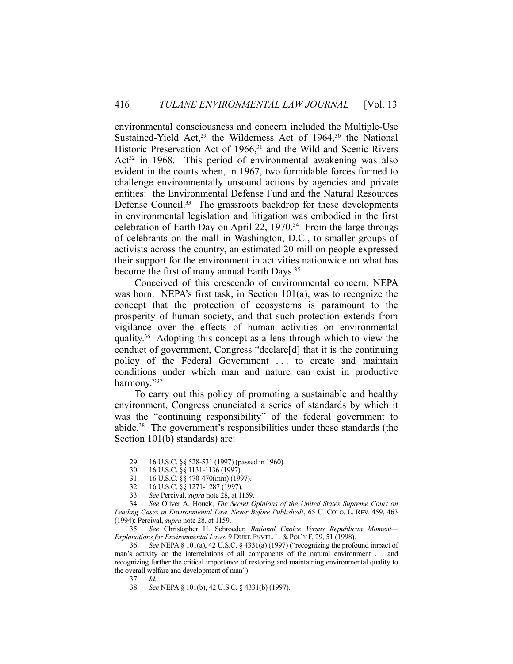environmental consciousness and concern included the Multiple-Use Sustained-Yield Act,<sup>29</sup> the Wilderness Act of 1964,<sup>30</sup> the National Historic Preservation Act of 1966,<sup>31</sup> and the Wild and Scenic Rivers Act<sup>32</sup> in 1968. This period of environmental awakening was also evident in the courts when, in 1967, two formidable forces formed to challenge environmentally unsound actions by agencies and private entities: the Environmental Defense Fund and the Natural Resources Defense Council.<sup>33</sup> The grassroots backdrop for these developments in environmental legislation and litigation was embodied in the first celebration of Earth Day on April 22,  $1970.^{34}$  From the large throngs of celebrants on the mall in Washington, D.C., to smaller groups of activists across the country, an estimated 20 million people expressed their support for the environment in activities nationwide on what has become the first of many annual Earth Days.35

 Conceived of this crescendo of environmental concern, NEPA was born. NEPA's first task, in Section 101(a), was to recognize the concept that the protection of ecosystems is paramount to the prosperity of human society, and that such protection extends from vigilance over the effects of human activities on environmental quality.36 Adopting this concept as a lens through which to view the conduct of government, Congress "declare[d] that it is the continuing policy of the Federal Government . . . to create and maintain conditions under which man and nature can exist in productive harmony."37

 To carry out this policy of promoting a sustainable and healthy environment, Congress enunciated a series of standards by which it was the "continuing responsibility" of the federal government to abide.38 The government's responsibilities under these standards (the Section 101(b) standards) are:

 <sup>29. 16</sup> U.S.C. §§ 528-531 (1997) (passed in 1960).

 <sup>30. 16</sup> U.S.C. §§ 1131-1136 (1997).

 <sup>31. 16</sup> U.S.C. §§ 470-470(mm) (1997).

 <sup>32. 16</sup> U.S.C. §§ 1271-1287 (1997).

 <sup>33.</sup> *See* Percival, *supra* note 28, at 1159.

 <sup>34.</sup> *See* Oliver A. Houck, *The Secret Opinions of the United States Supreme Court on Leading Cases in Environmental Law, Never Before Published!*, 65 U. COLO. L. REV. 459, 463 (1994); Percival, *supra* note 28, at 1159.

 <sup>35.</sup> *See* Christopher H. Schroeder, *Rational Choice Versus Republican Moment— Explanations for Environmental Laws*, 9 DUKE ENVTL. L. & POL'Y F. 29, 51 (1998).

 <sup>36.</sup> *See* NEPA § 101(a), 42 U.S.C. § 4331(a) (1997) ("recognizing the profound impact of man's activity on the interrelations of all components of the natural environment . . . and recognizing further the critical importance of restoring and maintaining environmental quality to the overall welfare and development of man").

 <sup>37.</sup> *Id.*

 <sup>38.</sup> *See* NEPA § 101(b), 42 U.S.C. § 4331(b) (1997).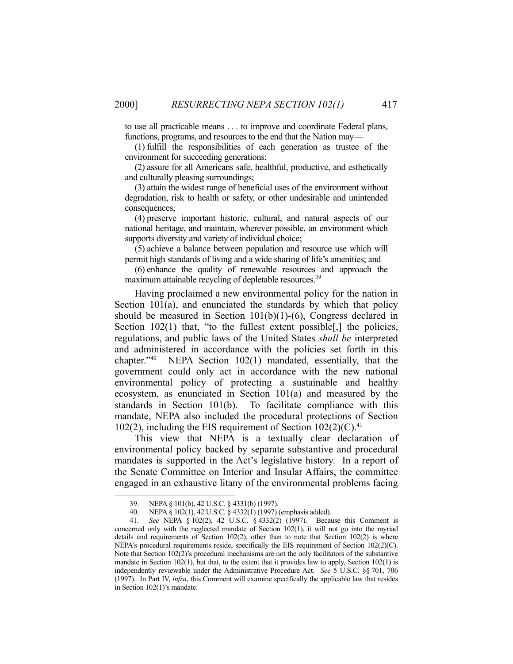to use all practicable means . . . to improve and coordinate Federal plans, functions, programs, and resources to the end that the Nation may—

 (1) fulfill the responsibilities of each generation as trustee of the environment for succeeding generations;

 (2) assure for all Americans safe, healthful, productive, and esthetically and culturally pleasing surroundings;

 (3) attain the widest range of beneficial uses of the environment without degradation, risk to health or safety, or other undesirable and unintended consequences;

 (4) preserve important historic, cultural, and natural aspects of our national heritage, and maintain, wherever possible, an environment which supports diversity and variety of individual choice;

 (5) achieve a balance between population and resource use which will permit high standards of living and a wide sharing of life's amenities; and

 (6) enhance the quality of renewable resources and approach the maximum attainable recycling of depletable resources.<sup>39</sup>

 Having proclaimed a new environmental policy for the nation in Section 101(a), and enunciated the standards by which that policy should be measured in Section 101(b)(1)-(6), Congress declared in Section 102(1) that, "to the fullest extent possible<sup>[1]</sup>, the policies, regulations, and public laws of the United States *shall be* interpreted and administered in accordance with the policies set forth in this chapter."40 NEPA Section 102(1) mandated, essentially, that the government could only act in accordance with the new national environmental policy of protecting a sustainable and healthy ecosystem, as enunciated in Section 101(a) and measured by the standards in Section 101(b). To facilitate compliance with this mandate, NEPA also included the procedural protections of Section 102(2), including the EIS requirement of Section  $102(2)(C)^{41}$ .

 This view that NEPA is a textually clear declaration of environmental policy backed by separate substantive and procedural mandates is supported in the Act's legislative history. In a report of the Senate Committee on Interior and Insular Affairs, the committee engaged in an exhaustive litany of the environmental problems facing

 <sup>39.</sup> NEPA § 101(b), 42 U.S.C. § 4331(b) (1997).

 <sup>40.</sup> NEPA § 102(1), 42 U.S.C. § 4332(1) (1997) (emphasis added).

 <sup>41.</sup> *See* NEPA § 102(2), 42 U.S.C. § 4332(2) (1997). Because this Comment is concerned only with the neglected mandate of Section 102(1), it will not go into the myriad details and requirements of Section  $102(2)$ , other than to note that Section  $102(2)$  is where NEPA's procedural requirements reside, specifically the EIS requirement of Section 102(2)(C). Note that Section 102(2)'s procedural mechanisms are not the only facilitators of the substantive mandate in Section  $102(1)$ , but that, to the extent that it provides law to apply, Section  $102(1)$  is independently reviewable under the Administrative Procedure Act. *See* 5 U.S.C. §§ 701, 706 (1997). In Part IV, *infra*, this Comment will examine specifically the applicable law that resides in Section 102(1)'s mandate.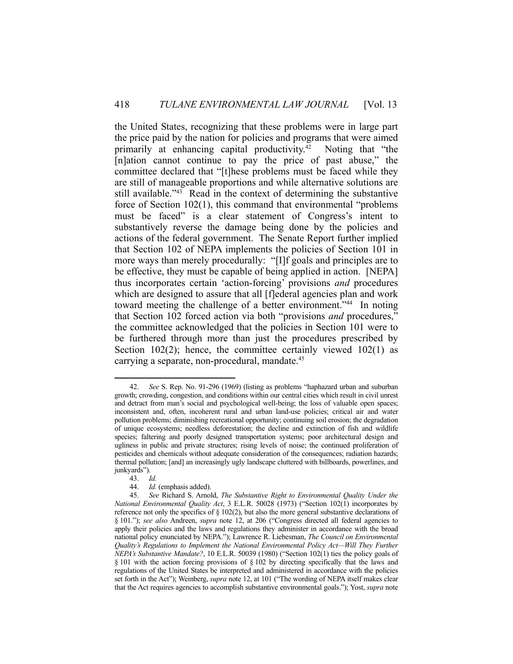the United States, recognizing that these problems were in large part the price paid by the nation for policies and programs that were aimed primarily at enhancing capital productivity.42 Noting that "the [n]ation cannot continue to pay the price of past abuse," the committee declared that "[t]hese problems must be faced while they are still of manageable proportions and while alternative solutions are still available."<sup>43</sup> Read in the context of determining the substantive force of Section 102(1), this command that environmental "problems must be faced" is a clear statement of Congress's intent to substantively reverse the damage being done by the policies and actions of the federal government. The Senate Report further implied that Section 102 of NEPA implements the policies of Section 101 in more ways than merely procedurally: "[I]f goals and principles are to be effective, they must be capable of being applied in action. [NEPA] thus incorporates certain 'action-forcing' provisions *and* procedures which are designed to assure that all [f]ederal agencies plan and work toward meeting the challenge of a better environment."<sup>44</sup> In noting that Section 102 forced action via both "provisions *and* procedures," the committee acknowledged that the policies in Section 101 were to be furthered through more than just the procedures prescribed by Section  $102(2)$ ; hence, the committee certainly viewed  $102(1)$  as carrying a separate, non-procedural, mandate.<sup>45</sup>

 <sup>42.</sup> *See* S. Rep. No. 91-296 (1969) (listing as problems "haphazard urban and suburban growth; crowding, congestion, and conditions within our central cities which result in civil unrest and detract from man's social and psychological well-being; the loss of valuable open spaces; inconsistent and, often, incoherent rural and urban land-use policies; critical air and water pollution problems; diminishing recreational opportunity; continuing soil erosion; the degradation of unique ecosystems; needless deforestation; the decline and extinction of fish and wildlife species; faltering and poorly designed transportation systems; poor architectural design and ugliness in public and private structures; rising levels of noise; the continued proliferation of pesticides and chemicals without adequate consideration of the consequences; radiation hazards; thermal pollution; [and] an increasingly ugly landscape cluttered with billboards, powerlines, and junkyards").

 <sup>43.</sup> *Id.* 

 <sup>44.</sup> *Id.* (emphasis added).

 <sup>45.</sup> *See* Richard S. Arnold, *The Substantive Right to Environmental Quality Under the National Environmental Quality Act*, 3 E.L.R. 50028 (1973) ("Section 102(1) incorporates by reference not only the specifics of § 102(2), but also the more general substantive declarations of § 101."); *see also* Andreen, *supra* note 12, at 206 ("Congress directed all federal agencies to apply their policies and the laws and regulations they administer in accordance with the broad national policy enunciated by NEPA."); Lawrence R. Liebesman, *The Council on Environmental Quality's Regulations to Implement the National Environmental Policy Act—Will They Further NEPA's Substantive Mandate?*, 10 E.L.R. 50039 (1980) ("Section 102(1) ties the policy goals of § 101 with the action forcing provisions of § 102 by directing specifically that the laws and regulations of the United States be interpreted and administered in accordance with the policies set forth in the Act"); Weinberg, *supra* note 12, at 101 ("The wording of NEPA itself makes clear that the Act requires agencies to accomplish substantive environmental goals."); Yost, *supra* note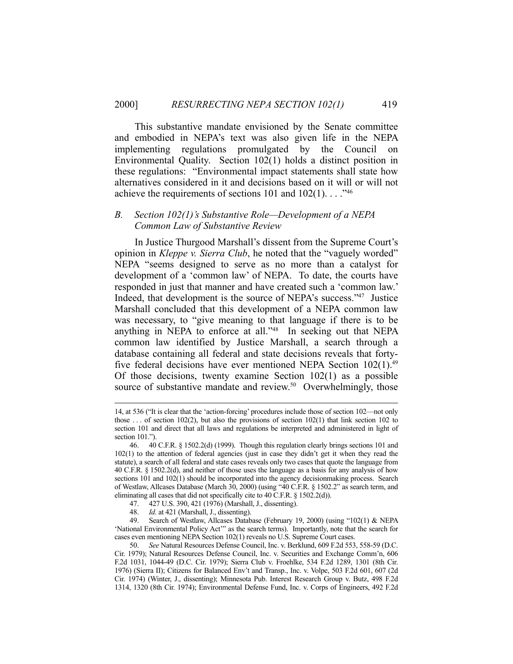This substantive mandate envisioned by the Senate committee and embodied in NEPA's text was also given life in the NEPA implementing regulations promulgated by the Council on Environmental Quality. Section 102(1) holds a distinct position in these regulations: "Environmental impact statements shall state how alternatives considered in it and decisions based on it will or will not achieve the requirements of sections 101 and  $102(1)$ ..."<sup>46</sup>

#### *B. Section 102(1)'s Substantive Role—Development of a NEPA Common Law of Substantive Review*

 In Justice Thurgood Marshall's dissent from the Supreme Court's opinion in *Kleppe v. Sierra Club*, he noted that the "vaguely worded" NEPA "seems designed to serve as no more than a catalyst for development of a 'common law' of NEPA. To date, the courts have responded in just that manner and have created such a 'common law.' Indeed, that development is the source of NEPA's success."47 Justice Marshall concluded that this development of a NEPA common law was necessary, to "give meaning to that language if there is to be anything in NEPA to enforce at all."48 In seeking out that NEPA common law identified by Justice Marshall, a search through a database containing all federal and state decisions reveals that fortyfive federal decisions have ever mentioned NEPA Section  $102(1)$ .<sup>49</sup> Of those decisions, twenty examine Section 102(1) as a possible source of substantive mandate and review.<sup>50</sup> Overwhelmingly, those

 <sup>14,</sup> at 536 ("It is clear that the 'action-forcing' procedures include those of section 102—not only those ... of section  $102(2)$ , but also the provisions of section  $102(1)$  that link section 102 to section 101 and direct that all laws and regulations be interpreted and administered in light of section 101.").

 <sup>46. 40</sup> C.F.R. § 1502.2(d) (1999). Though this regulation clearly brings sections 101 and 102(1) to the attention of federal agencies (just in case they didn't get it when they read the statute), a search of all federal and state cases reveals only two cases that quote the language from 40 C.F.R. § 1502.2(d), and neither of those uses the language as a basis for any analysis of how sections 101 and 102(1) should be incorporated into the agency decisionmaking process. Search of Westlaw, Allcases Database (March 30, 2000) (using "40 C.F.R. § 1502.2" as search term, and eliminating all cases that did not specifically cite to 40 C.F.R. § 1502.2(d)).

 <sup>47. 427</sup> U.S. 390, 421 (1976) (Marshall, J., dissenting).

 <sup>48.</sup> *Id.* at 421 (Marshall, J., dissenting).

 <sup>49.</sup> Search of Westlaw, Allcases Database (February 19, 2000) (using "102(1) & NEPA 'National Environmental Policy Act'" as the search terms). Importantly, note that the search for cases even mentioning NEPA Section 102(1) reveals no U.S. Supreme Court cases.

 <sup>50.</sup> *See* Natural Resources Defense Council, Inc. v. Berklund, 609 F.2d 553, 558-59 (D.C. Cir. 1979); Natural Resources Defense Council, Inc. v. Securities and Exchange Comm'n, 606 F.2d 1031, 1044-49 (D.C. Cir. 1979); Sierra Club v. Froehlke, 534 F.2d 1289, 1301 (8th Cir. 1976) (Sierra II); Citizens for Balanced Env't and Transp., Inc. v. Volpe, 503 F.2d 601, 607 (2d Cir. 1974) (Winter, J., dissenting); Minnesota Pub. Interest Research Group v. Butz, 498 F.2d 1314, 1320 (8th Cir. 1974); Environmental Defense Fund, Inc. v. Corps of Engineers, 492 F.2d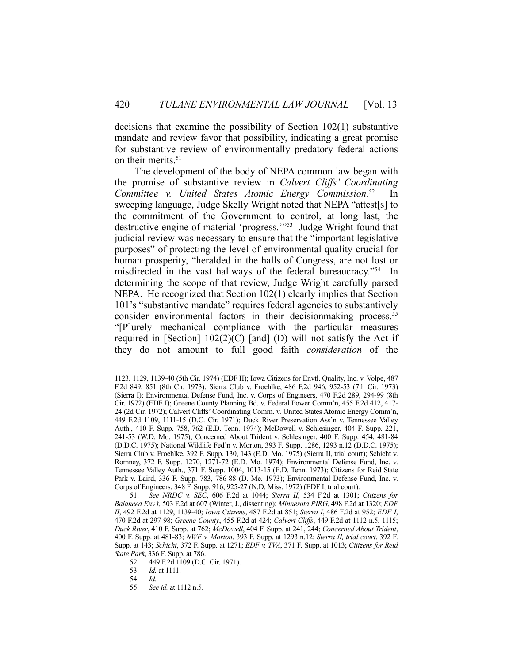decisions that examine the possibility of Section 102(1) substantive mandate and review favor that possibility, indicating a great promise for substantive review of environmentally predatory federal actions on their merits.<sup>51</sup>

 The development of the body of NEPA common law began with the promise of substantive review in *Calvert Cliffs' Coordinating Committee v. United States Atomic Energy Commission*.  $In$ sweeping language, Judge Skelly Wright noted that NEPA "attest[s] to the commitment of the Government to control, at long last, the destructive engine of material 'progress.'"53 Judge Wright found that judicial review was necessary to ensure that the "important legislative purposes" of protecting the level of environmental quality crucial for human prosperity, "heralded in the halls of Congress, are not lost or misdirected in the vast hallways of the federal bureaucracy."54 In determining the scope of that review, Judge Wright carefully parsed NEPA. He recognized that Section 102(1) clearly implies that Section 101's "substantive mandate" requires federal agencies to substantively consider environmental factors in their decisionmaking process.<sup>55</sup> "[P]urely mechanical compliance with the particular measures required in [Section]  $102(2)(C)$  [and] (D) will not satisfy the Act if they do not amount to full good faith *consideration* of the

 <sup>1123, 1129, 1139-40 (5</sup>th Cir. 1974) (EDF II); Iowa Citizens for Envtl. Quality, Inc. v. Volpe, 487 F.2d 849, 851 (8th Cir. 1973); Sierra Club v. Froehlke, 486 F.2d 946, 952-53 (7th Cir. 1973) (Sierra I); Environmental Defense Fund, Inc. v. Corps of Engineers, 470 F.2d 289, 294-99 (8th Cir. 1972) (EDF I); Greene County Planning Bd. v. Federal Power Comm'n, 455 F.2d 412, 417- 24 (2d Cir. 1972); Calvert Cliffs' Coordinating Comm. v. United States Atomic Energy Comm'n, 449 F.2d 1109, 1111-15 (D.C. Cir. 1971); Duck River Preservation Ass'n v. Tennessee Valley Auth., 410 F. Supp. 758, 762 (E.D. Tenn. 1974); McDowell v. Schlesinger, 404 F. Supp. 221, 241-53 (W.D. Mo. 1975); Concerned About Trident v. Schlesinger, 400 F. Supp. 454, 481-84 (D.D.C. 1975); National Wildlife Fed'n v. Morton, 393 F. Supp. 1286, 1293 n.12 (D.D.C. 1975); Sierra Club v. Froehlke, 392 F. Supp. 130, 143 (E.D. Mo. 1975) (Sierra II, trial court); Schicht v. Romney, 372 F. Supp. 1270, 1271-72 (E.D. Mo. 1974); Environmental Defense Fund, Inc. v. Tennessee Valley Auth., 371 F. Supp. 1004, 1013-15 (E.D. Tenn. 1973); Citizens for Reid State Park v. Laird, 336 F. Supp. 783, 786-88 (D. Me. 1973); Environmental Defense Fund, Inc. v. Corps of Engineers, 348 F. Supp. 916, 925-27 (N.D. Miss. 1972) (EDF I, trial court).

 <sup>51.</sup> *See NRDC v. SEC*, 606 F.2d at 1044; *Sierra II*, 534 F.2d at 1301; *Citizens for Balanced Env't*, 503 F.2d at 607 (Winter, J., dissenting); *Minnesota PIRG*, 498 F.2d at 1320; *EDF II*, 492 F.2d at 1129, 1139-40; *Iowa Citizens*, 487 F.2d at 851; *Sierra I*, 486 F.2d at 952; *EDF I*, 470 F.2d at 297-98; *Greene County*, 455 F.2d at 424; *Calvert Cliffs*, 449 F.2d at 1112 n.5, 1115; *Duck River*, 410 F. Supp. at 762; *McDowell*, 404 F. Supp. at 241, 244; *Concerned About Trident*, 400 F. Supp. at 481-83; *NWF v. Morton*, 393 F. Supp. at 1293 n.12; *Sierra II, trial court*, 392 F. Supp. at 143; *Schicht*, 372 F. Supp. at 1271; *EDF v. TVA*, 371 F. Supp. at 1013; *Citizens for Reid State Park*, 336 F. Supp. at 786.

 <sup>52. 449</sup> F.2d 1109 (D.C. Cir. 1971).

 <sup>53.</sup> *Id.* at 1111.

 <sup>54.</sup> *Id.*

 <sup>55.</sup> *See id.* at 1112 n.5.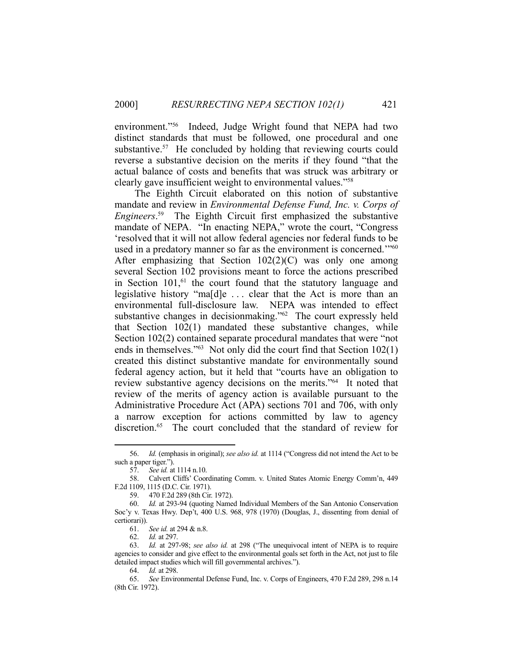environment."56 Indeed, Judge Wright found that NEPA had two distinct standards that must be followed, one procedural and one substantive.<sup>57</sup> He concluded by holding that reviewing courts could reverse a substantive decision on the merits if they found "that the actual balance of costs and benefits that was struck was arbitrary or clearly gave insufficient weight to environmental values."58

 The Eighth Circuit elaborated on this notion of substantive mandate and review in *Environmental Defense Fund, Inc. v. Corps of Engineers*. 59 The Eighth Circuit first emphasized the substantive mandate of NEPA. "In enacting NEPA," wrote the court, "Congress 'resolved that it will not allow federal agencies nor federal funds to be used in a predatory manner so far as the environment is concerned."<sup>60</sup> After emphasizing that Section  $102(2)(C)$  was only one among several Section 102 provisions meant to force the actions prescribed in Section  $101$ ,<sup> $61$ </sup> the court found that the statutory language and legislative history "ma[d]e . . . clear that the Act is more than an environmental full-disclosure law. NEPA was intended to effect substantive changes in decisionmaking."62 The court expressly held that Section 102(1) mandated these substantive changes, while Section 102(2) contained separate procedural mandates that were "not ends in themselves."63 Not only did the court find that Section 102(1) created this distinct substantive mandate for environmentally sound federal agency action, but it held that "courts have an obligation to review substantive agency decisions on the merits."64 It noted that review of the merits of agency action is available pursuant to the Administrative Procedure Act (APA) sections 701 and 706, with only a narrow exception for actions committed by law to agency discretion.<sup>65</sup> The court concluded that the standard of review for

 <sup>56.</sup> *Id.* (emphasis in original); *see also id.* at 1114 ("Congress did not intend the Act to be such a paper tiger.").

 <sup>57.</sup> *See id.* at 1114 n.10.

 <sup>58.</sup> Calvert Cliffs' Coordinating Comm. v. United States Atomic Energy Comm'n, 449 F.2d 1109, 1115 (D.C. Cir. 1971).

 <sup>59. 470</sup> F.2d 289 (8th Cir. 1972).

 <sup>60.</sup> *Id.* at 293-94 (quoting Named Individual Members of the San Antonio Conservation Soc'y v. Texas Hwy. Dep't, 400 U.S. 968, 978 (1970) (Douglas, J., dissenting from denial of certiorari)).

 <sup>61.</sup> *See id.* at 294 & n.8.

 <sup>62.</sup> *Id.* at 297.

 <sup>63.</sup> *Id.* at 297-98; *see also id.* at 298 ("The unequivocal intent of NEPA is to require agencies to consider and give effect to the environmental goals set forth in the Act, not just to file detailed impact studies which will fill governmental archives.").

 <sup>64.</sup> *Id.* at 298.

 <sup>65.</sup> *See* Environmental Defense Fund, Inc. v. Corps of Engineers, 470 F.2d 289, 298 n.14 (8th Cir. 1972).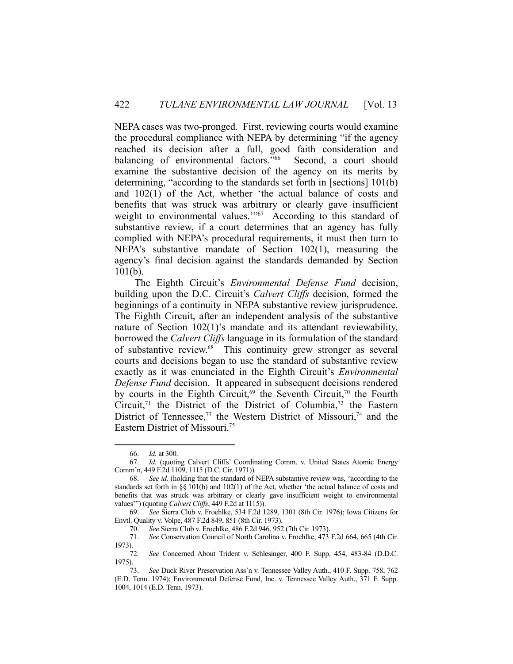NEPA cases was two-pronged. First, reviewing courts would examine the procedural compliance with NEPA by determining "if the agency reached its decision after a full, good faith consideration and balancing of environmental factors."<sup>66</sup> Second, a court should examine the substantive decision of the agency on its merits by determining, "according to the standards set forth in [sections] 101(b) and 102(1) of the Act, whether 'the actual balance of costs and benefits that was struck was arbitrary or clearly gave insufficient weight to environmental values."<sup>67</sup> According to this standard of substantive review, if a court determines that an agency has fully complied with NEPA's procedural requirements, it must then turn to NEPA's substantive mandate of Section 102(1), measuring the agency's final decision against the standards demanded by Section 101(b).

 The Eighth Circuit's *Environmental Defense Fund* decision, building upon the D.C. Circuit's *Calvert Cliffs* decision, formed the beginnings of a continuity in NEPA substantive review jurisprudence. The Eighth Circuit, after an independent analysis of the substantive nature of Section 102(1)'s mandate and its attendant reviewability, borrowed the *Calvert Cliffs* language in its formulation of the standard of substantive review.68 This continuity grew stronger as several courts and decisions began to use the standard of substantive review exactly as it was enunciated in the Eighth Circuit's *Environmental Defense Fund* decision. It appeared in subsequent decisions rendered by courts in the Eighth Circuit,<sup>69</sup> the Seventh Circuit,<sup>70</sup> the Fourth Circuit,<sup>71</sup> the District of the District of Columbia,<sup>72</sup> the Eastern District of Tennessee,<sup>73</sup> the Western District of Missouri,<sup>74</sup> and the Eastern District of Missouri.75

 <sup>66.</sup> *Id.* at 300.

 <sup>67.</sup> *Id.* (quoting Calvert Cliffs' Coordinating Comm. v. United States Atomic Energy Comm'n, 449 F.2d 1109, 1115 (D.C. Cir. 1971)).

 <sup>68.</sup> *See id.* (holding that the standard of NEPA substantive review was, "according to the standards set forth in §§ 101(b) and 102(1) of the Act, whether 'the actual balance of costs and benefits that was struck was arbitrary or clearly gave insufficient weight to environmental values'") (quoting *Calvert Cliffs*, 449 F.2d at 1115)).

 <sup>69.</sup> *See* Sierra Club v. Froehlke, 534 F.2d 1289, 1301 (8th Cir. 1976); Iowa Citizens for Envtl. Quality v. Volpe, 487 F.2d 849, 851 (8th Cir. 1973).

 <sup>70.</sup> *See* Sierra Club v. Froehlke, 486 F.2d 946, 952 (7th Cir. 1973).

 <sup>71.</sup> *See* Conservation Council of North Carolina v. Froehlke, 473 F.2d 664, 665 (4th Cir. 1973).

 <sup>72.</sup> *See* Concerned About Trident v. Schlesinger, 400 F. Supp. 454, 483-84 (D.D.C. 1975).

 <sup>73.</sup> *See* Duck River Preservation Ass'n v. Tennessee Valley Auth., 410 F. Supp. 758, 762 (E.D. Tenn. 1974); Environmental Defense Fund, Inc. v. Tennessee Valley Auth., 371 F. Supp. 1004, 1014 (E.D. Tenn. 1973).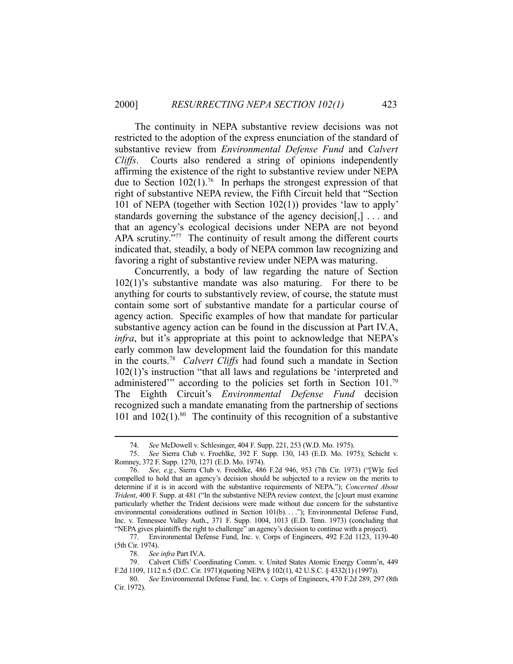The continuity in NEPA substantive review decisions was not restricted to the adoption of the express enunciation of the standard of substantive review from *Environmental Defense Fund* and *Calvert Cliffs*. Courts also rendered a string of opinions independently affirming the existence of the right to substantive review under NEPA due to Section  $102(1)$ .<sup>76</sup> In perhaps the strongest expression of that right of substantive NEPA review, the Fifth Circuit held that "Section 101 of NEPA (together with Section 102(1)) provides 'law to apply' standards governing the substance of the agency decision[,] . . . and that an agency's ecological decisions under NEPA are not beyond APA scrutiny."<sup>77</sup> The continuity of result among the different courts indicated that, steadily, a body of NEPA common law recognizing and favoring a right of substantive review under NEPA was maturing.

 Concurrently, a body of law regarding the nature of Section 102(1)'s substantive mandate was also maturing. For there to be anything for courts to substantively review, of course, the statute must contain some sort of substantive mandate for a particular course of agency action. Specific examples of how that mandate for particular substantive agency action can be found in the discussion at Part IV.A, *infra*, but it's appropriate at this point to acknowledge that NEPA's early common law development laid the foundation for this mandate in the courts.78 *Calvert Cliffs* had found such a mandate in Section 102(1)'s instruction "that all laws and regulations be 'interpreted and administered<sup>"</sup> according to the policies set forth in Section 101.<sup>79</sup> The Eighth Circuit's *Environmental Defense Fund* decision recognized such a mandate emanating from the partnership of sections 101 and  $102(1)$ .<sup>80</sup> The continuity of this recognition of a substantive

 77. Environmental Defense Fund, Inc. v. Corps of Engineers, 492 F.2d 1123, 1139-40 (5th Cir. 1974).

 <sup>74.</sup> *See* McDowell v. Schlesinger, 404 F. Supp. 221, 253 (W.D. Mo. 1975).

 <sup>75.</sup> *See* Sierra Club v. Froehlke, 392 F. Supp. 130, 143 (E.D. Mo. 1975); Schicht v. Romney, 372 F. Supp. 1270, 1271 (E.D. Mo. 1974).

 <sup>76.</sup> *See, e.g.*, Sierra Club v. Froehlke, 486 F.2d 946, 953 (7th Cir. 1973) ("[W]e feel compelled to hold that an agency's decision should be subjected to a review on the merits to determine if it is in accord with the substantive requirements of NEPA."); *Concerned About Trident*, 400 F. Supp. at 481 ("In the substantive NEPA review context, the [c]ourt must examine particularly whether the Trident decisions were made without due concern for the substantive environmental considerations outlined in Section 101(b). . . ."); Environmental Defense Fund, Inc. v. Tennessee Valley Auth., 371 F. Supp. 1004, 1013 (E.D. Tenn. 1973) (concluding that "NEPA gives plaintiffs the right to challenge" an agency's decision to continue with a project).

 <sup>78.</sup> *See infra* Part IV.A.

 <sup>79.</sup> Calvert Cliffs' Coordinating Comm. v. United States Atomic Energy Comm'n, 449 F.2d 1109, 1112 n.5 (D.C. Cir. 1971)(quoting NEPA § 102(1), 42 U.S.C. § 4332(1) (1997)).

 <sup>80.</sup> *See* Environmental Defense Fund, Inc. v. Corps of Engineers, 470 F.2d 289, 297 (8th Cir. 1972).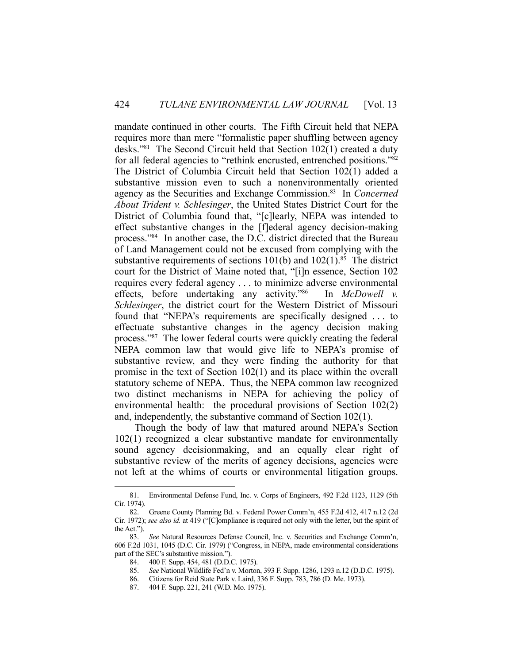mandate continued in other courts. The Fifth Circuit held that NEPA requires more than mere "formalistic paper shuffling between agency desks."81 The Second Circuit held that Section 102(1) created a duty for all federal agencies to "rethink encrusted, entrenched positions."82 The District of Columbia Circuit held that Section 102(1) added a substantive mission even to such a nonenvironmentally oriented agency as the Securities and Exchange Commission.83 In *Concerned About Trident v. Schlesinger*, the United States District Court for the District of Columbia found that, "[c]learly, NEPA was intended to effect substantive changes in the [f]ederal agency decision-making process."84 In another case, the D.C. district directed that the Bureau of Land Management could not be excused from complying with the substantive requirements of sections  $101(b)$  and  $102(1)$ .<sup>85</sup> The district court for the District of Maine noted that, "[i]n essence, Section 102 requires every federal agency . . . to minimize adverse environmental effects, before undertaking any activity."86 In *McDowell v. Schlesinger*, the district court for the Western District of Missouri found that "NEPA's requirements are specifically designed . . . to effectuate substantive changes in the agency decision making process."87 The lower federal courts were quickly creating the federal NEPA common law that would give life to NEPA's promise of substantive review, and they were finding the authority for that promise in the text of Section 102(1) and its place within the overall statutory scheme of NEPA. Thus, the NEPA common law recognized two distinct mechanisms in NEPA for achieving the policy of environmental health: the procedural provisions of Section 102(2) and, independently, the substantive command of Section 102(1).

 Though the body of law that matured around NEPA's Section 102(1) recognized a clear substantive mandate for environmentally sound agency decisionmaking, and an equally clear right of substantive review of the merits of agency decisions, agencies were not left at the whims of courts or environmental litigation groups.

 <sup>81.</sup> Environmental Defense Fund, Inc. v. Corps of Engineers, 492 F.2d 1123, 1129 (5th Cir. 1974).

 <sup>82.</sup> Greene County Planning Bd. v. Federal Power Comm'n, 455 F.2d 412, 417 n.12 (2d Cir. 1972); *see also id.* at 419 ("[C]ompliance is required not only with the letter, but the spirit of the Act.").

 <sup>83.</sup> *See* Natural Resources Defense Council, Inc. v. Securities and Exchange Comm'n, 606 F.2d 1031, 1045 (D.C. Cir. 1979) ("Congress, in NEPA, made environmental considerations part of the SEC's substantive mission.").

 <sup>84. 400</sup> F. Supp. 454, 481 (D.D.C. 1975).

 <sup>85.</sup> *See* National Wildlife Fed'n v. Morton, 393 F. Supp. 1286, 1293 n.12 (D.D.C. 1975).

 <sup>86.</sup> Citizens for Reid State Park v. Laird, 336 F. Supp. 783, 786 (D. Me. 1973).

 <sup>87. 404</sup> F. Supp. 221, 241 (W.D. Mo. 1975).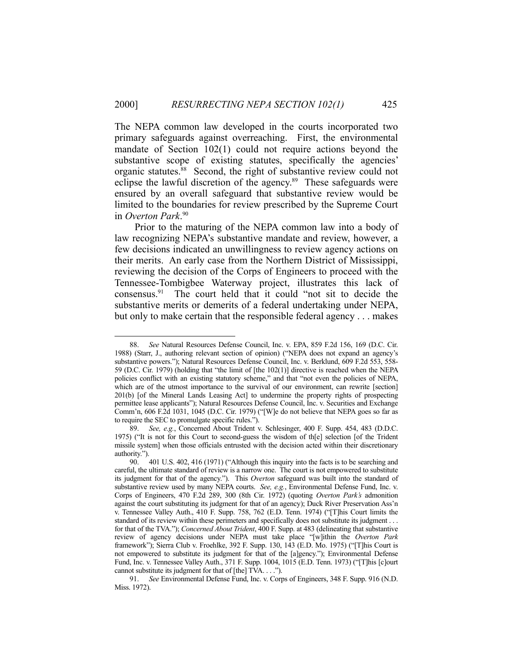The NEPA common law developed in the courts incorporated two primary safeguards against overreaching. First, the environmental mandate of Section 102(1) could not require actions beyond the substantive scope of existing statutes, specifically the agencies' organic statutes.88 Second, the right of substantive review could not eclipse the lawful discretion of the agency.<sup>89</sup> These safeguards were ensured by an overall safeguard that substantive review would be limited to the boundaries for review prescribed by the Supreme Court in *Overton Park*. 90

 Prior to the maturing of the NEPA common law into a body of law recognizing NEPA's substantive mandate and review, however, a few decisions indicated an unwillingness to review agency actions on their merits. An early case from the Northern District of Mississippi, reviewing the decision of the Corps of Engineers to proceed with the Tennessee-Tombigbee Waterway project, illustrates this lack of consensus.91 The court held that it could "not sit to decide the substantive merits or demerits of a federal undertaking under NEPA, but only to make certain that the responsible federal agency . . . makes

 <sup>88.</sup> *See* Natural Resources Defense Council, Inc. v. EPA, 859 F.2d 156, 169 (D.C. Cir. 1988) (Starr, J., authoring relevant section of opinion) ("NEPA does not expand an agency's substantive powers."); Natural Resources Defense Council, Inc. v. Berklund, 609 F.2d 553, 558- 59 (D.C. Cir. 1979) (holding that "the limit of [the 102(1)] directive is reached when the NEPA policies conflict with an existing statutory scheme," and that "not even the policies of NEPA, which are of the utmost importance to the survival of our environment, can rewrite [section] 201(b) [of the Mineral Lands Leasing Act] to undermine the property rights of prospecting permittee lease applicants"); Natural Resources Defense Council, Inc. v. Securities and Exchange Comm'n, 606 F.2d 1031, 1045 (D.C. Cir. 1979) ("[W]e do not believe that NEPA goes so far as to require the SEC to promulgate specific rules.").

 <sup>89.</sup> *See, e.g.*, Concerned About Trident v. Schlesinger, 400 F. Supp. 454, 483 (D.D.C. 1975) ("It is not for this Court to second-guess the wisdom of th[e] selection [of the Trident missile system] when those officials entrusted with the decision acted within their discretionary authority.").

 <sup>90. 401</sup> U.S. 402, 416 (1971) ("Although this inquiry into the facts is to be searching and careful, the ultimate standard of review is a narrow one. The court is not empowered to substitute its judgment for that of the agency."). This *Overton* safeguard was built into the standard of substantive review used by many NEPA courts. *See, e.g.*, Environmental Defense Fund, Inc. v. Corps of Engineers, 470 F.2d 289, 300 (8th Cir. 1972) (quoting *Overton Park's* admonition against the court substituting its judgment for that of an agency); Duck River Preservation Ass'n v. Tennessee Valley Auth., 410 F. Supp. 758, 762 (E.D. Tenn. 1974) ("[T]his Court limits the standard of its review within these perimeters and specifically does not substitute its judgment . . . for that of the TVA."); *Concerned About Trident*, 400 F. Supp. at 483 (delineating that substantive review of agency decisions under NEPA must take place "[w]ithin the *Overton Park* framework"); Sierra Club v. Froehlke, 392 F. Supp. 130, 143 (E.D. Mo. 1975) ("[T]his Court is not empowered to substitute its judgment for that of the [a]gency."); Environmental Defense Fund, Inc. v. Tennessee Valley Auth., 371 F. Supp. 1004, 1015 (E.D. Tenn. 1973) ("[T]his [c]ourt cannot substitute its judgment for that of [the] TVA. . . .").

 <sup>91.</sup> *See* Environmental Defense Fund, Inc. v. Corps of Engineers, 348 F. Supp. 916 (N.D. Miss. 1972).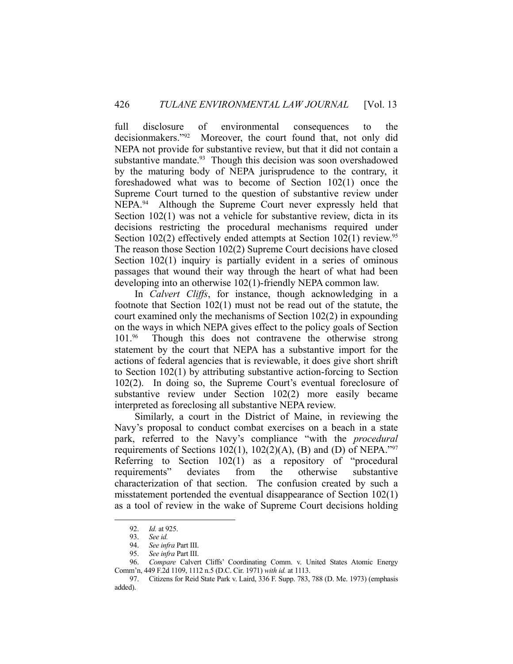full disclosure of environmental consequences to the decisionmakers."92 Moreover, the court found that, not only did NEPA not provide for substantive review, but that it did not contain a substantive mandate.<sup>93</sup> Though this decision was soon overshadowed by the maturing body of NEPA jurisprudence to the contrary, it foreshadowed what was to become of Section 102(1) once the Supreme Court turned to the question of substantive review under NEPA.<sup>94</sup> Although the Supreme Court never expressly held that Section 102(1) was not a vehicle for substantive review, dicta in its decisions restricting the procedural mechanisms required under Section  $102(2)$  effectively ended attempts at Section  $102(1)$  review.<sup>95</sup> The reason those Section 102(2) Supreme Court decisions have closed Section 102(1) inquiry is partially evident in a series of ominous passages that wound their way through the heart of what had been developing into an otherwise 102(1)-friendly NEPA common law.

 In *Calvert Cliffs*, for instance, though acknowledging in a footnote that Section 102(1) must not be read out of the statute, the court examined only the mechanisms of Section 102(2) in expounding on the ways in which NEPA gives effect to the policy goals of Section 101.96 Though this does not contravene the otherwise strong statement by the court that NEPA has a substantive import for the actions of federal agencies that is reviewable, it does give short shrift to Section 102(1) by attributing substantive action-forcing to Section 102(2). In doing so, the Supreme Court's eventual foreclosure of substantive review under Section 102(2) more easily became interpreted as foreclosing all substantive NEPA review.

 Similarly, a court in the District of Maine, in reviewing the Navy's proposal to conduct combat exercises on a beach in a state park, referred to the Navy's compliance "with the *procedural* requirements of Sections 102(1), 102(2)(A), (B) and (D) of NEPA."<sup>97</sup> Referring to Section 102(1) as a repository of "procedural requirements" deviates from the otherwise substantive characterization of that section. The confusion created by such a misstatement portended the eventual disappearance of Section 102(1) as a tool of review in the wake of Supreme Court decisions holding

 <sup>92.</sup> *Id.* at 925.

 <sup>93.</sup> *See id.* 

 <sup>94.</sup> *See infra* Part III.

 <sup>95.</sup> *See infra* Part III.

 <sup>96.</sup> *Compare* Calvert Cliffs' Coordinating Comm. v. United States Atomic Energy Comm'n, 449 F.2d 1109, 1112 n.5 (D.C. Cir. 1971) *with id.* at 1113.

 <sup>97.</sup> Citizens for Reid State Park v. Laird, 336 F. Supp. 783, 788 (D. Me. 1973) (emphasis added).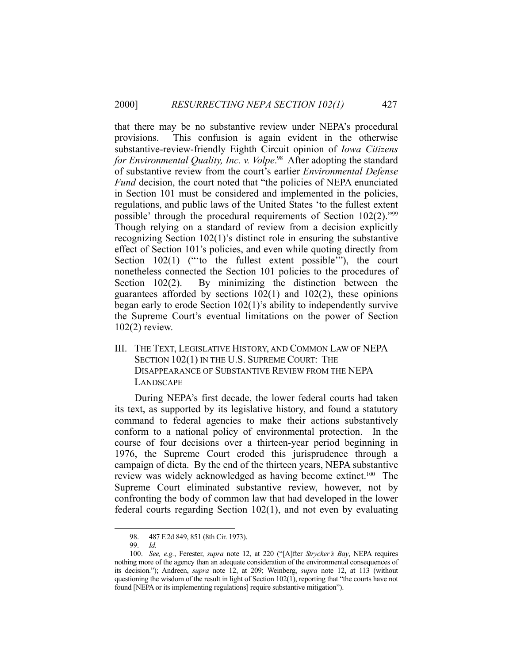that there may be no substantive review under NEPA's procedural provisions. This confusion is again evident in the otherwise substantive-review-friendly Eighth Circuit opinion of *Iowa Citizens*  for Environmental Quality, Inc. v. Volpe.<sup>98</sup> After adopting the standard of substantive review from the court's earlier *Environmental Defense Fund* decision, the court noted that "the policies of NEPA enunciated in Section 101 must be considered and implemented in the policies, regulations, and public laws of the United States 'to the fullest extent possible' through the procedural requirements of Section 102(2)."99 Though relying on a standard of review from a decision explicitly recognizing Section 102(1)'s distinct role in ensuring the substantive effect of Section 101's policies, and even while quoting directly from Section 102(1) ("to the fullest extent possible"), the court nonetheless connected the Section 101 policies to the procedures of Section 102(2). By minimizing the distinction between the guarantees afforded by sections 102(1) and 102(2), these opinions began early to erode Section 102(1)'s ability to independently survive the Supreme Court's eventual limitations on the power of Section 102(2) review.

III. THE TEXT, LEGISLATIVE HISTORY, AND COMMON LAW OF NEPA SECTION 102(1) IN THE U.S. SUPREME COURT: THE DISAPPEARANCE OF SUBSTANTIVE REVIEW FROM THE NEPA LANDSCAPE

 During NEPA's first decade, the lower federal courts had taken its text, as supported by its legislative history, and found a statutory command to federal agencies to make their actions substantively conform to a national policy of environmental protection. In the course of four decisions over a thirteen-year period beginning in 1976, the Supreme Court eroded this jurisprudence through a campaign of dicta. By the end of the thirteen years, NEPA substantive review was widely acknowledged as having become extinct.100 The Supreme Court eliminated substantive review, however, not by confronting the body of common law that had developed in the lower federal courts regarding Section 102(1), and not even by evaluating

 <sup>98. 487</sup> F.2d 849, 851 (8th Cir. 1973).

 <sup>99.</sup> *Id.* 

 <sup>100.</sup> *See, e.g.*, Ferester, *supra* note 12, at 220 ("[A]fter *Strycker's Bay*, NEPA requires nothing more of the agency than an adequate consideration of the environmental consequences of its decision."); Andreen, *supra* note 12, at 209; Weinberg, *supra* note 12, at 113 (without questioning the wisdom of the result in light of Section 102(1), reporting that "the courts have not found [NEPA or its implementing regulations] require substantive mitigation").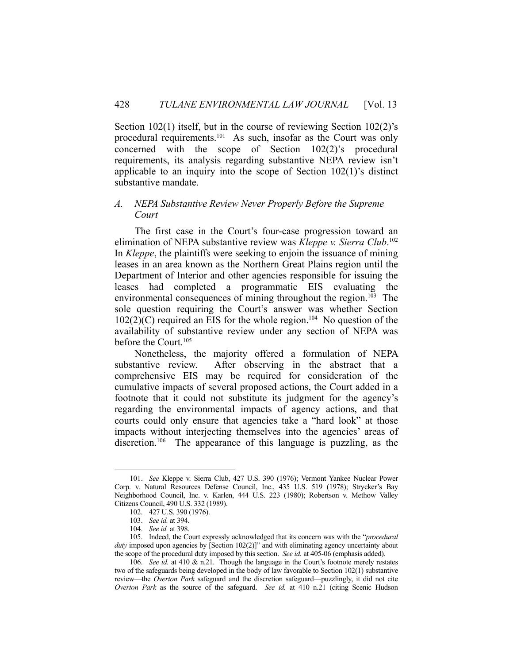Section 102(1) itself, but in the course of reviewing Section 102(2)'s procedural requirements.<sup>101</sup> As such, insofar as the Court was only concerned with the scope of Section 102(2)'s procedural requirements, its analysis regarding substantive NEPA review isn't applicable to an inquiry into the scope of Section 102(1)'s distinct substantive mandate.

## *A. NEPA Substantive Review Never Properly Before the Supreme Court*

 The first case in the Court's four-case progression toward an elimination of NEPA substantive review was *Kleppe v. Sierra Club*. 102 In *Kleppe*, the plaintiffs were seeking to enjoin the issuance of mining leases in an area known as the Northern Great Plains region until the Department of Interior and other agencies responsible for issuing the leases had completed a programmatic EIS evaluating the environmental consequences of mining throughout the region.<sup>103</sup> The sole question requiring the Court's answer was whether Section  $102(2)(C)$  required an EIS for the whole region.<sup>104</sup> No question of the availability of substantive review under any section of NEPA was before the Court.<sup>105</sup>

 Nonetheless, the majority offered a formulation of NEPA substantive review. After observing in the abstract that a comprehensive EIS may be required for consideration of the cumulative impacts of several proposed actions, the Court added in a footnote that it could not substitute its judgment for the agency's regarding the environmental impacts of agency actions, and that courts could only ensure that agencies take a "hard look" at those impacts without interjecting themselves into the agencies' areas of discretion.<sup>106</sup> The appearance of this language is puzzling, as the

 <sup>101.</sup> *See* Kleppe v. Sierra Club, 427 U.S. 390 (1976); Vermont Yankee Nuclear Power Corp. v. Natural Resources Defense Council, Inc., 435 U.S. 519 (1978); Strycker's Bay Neighborhood Council, Inc. v. Karlen, 444 U.S. 223 (1980); Robertson v. Methow Valley Citizens Council, 490 U.S. 332 (1989).

 <sup>102. 427</sup> U.S. 390 (1976).

 <sup>103.</sup> *See id.* at 394.

 <sup>104.</sup> *See id.* at 398.

 <sup>105.</sup> Indeed, the Court expressly acknowledged that its concern was with the "*procedural duty* imposed upon agencies by [Section 102(2)]" and with eliminating agency uncertainty about the scope of the procedural duty imposed by this section. *See id.* at 405-06 (emphasis added).

 <sup>106.</sup> *See id.* at 410 & n.21. Though the language in the Court's footnote merely restates two of the safeguards being developed in the body of law favorable to Section 102(1) substantive review—the *Overton Park* safeguard and the discretion safeguard—puzzlingly, it did not cite *Overton Park* as the source of the safeguard. *See id.* at 410 n.21 (citing Scenic Hudson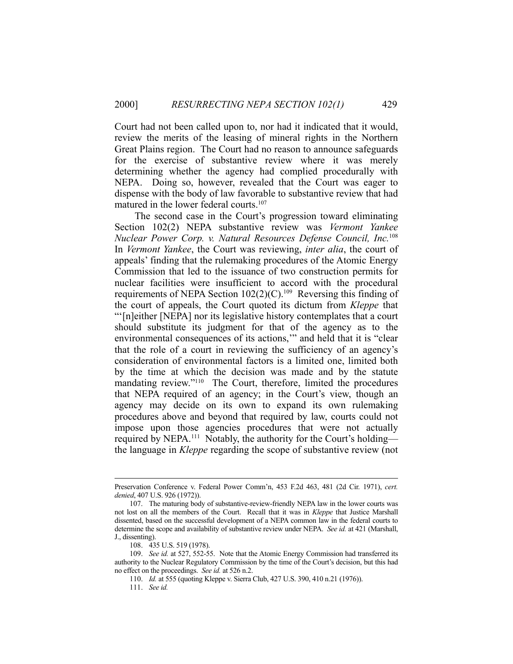Court had not been called upon to, nor had it indicated that it would, review the merits of the leasing of mineral rights in the Northern Great Plains region. The Court had no reason to announce safeguards for the exercise of substantive review where it was merely determining whether the agency had complied procedurally with NEPA. Doing so, however, revealed that the Court was eager to dispense with the body of law favorable to substantive review that had matured in the lower federal courts.<sup>107</sup>

 The second case in the Court's progression toward eliminating Section 102(2) NEPA substantive review was *Vermont Yankee Nuclear Power Corp. v. Natural Resources Defense Council, Inc.*108 In *Vermont Yankee*, the Court was reviewing, *inter alia*, the court of appeals' finding that the rulemaking procedures of the Atomic Energy Commission that led to the issuance of two construction permits for nuclear facilities were insufficient to accord with the procedural requirements of NEPA Section  $102(2)(C)$ .<sup>109</sup> Reversing this finding of the court of appeals, the Court quoted its dictum from *Kleppe* that "'[n]either [NEPA] nor its legislative history contemplates that a court should substitute its judgment for that of the agency as to the environmental consequences of its actions,'" and held that it is "clear that the role of a court in reviewing the sufficiency of an agency's consideration of environmental factors is a limited one, limited both by the time at which the decision was made and by the statute mandating review."<sup>110</sup> The Court, therefore, limited the procedures that NEPA required of an agency; in the Court's view, though an agency may decide on its own to expand its own rulemaking procedures above and beyond that required by law, courts could not impose upon those agencies procedures that were not actually required by NEPA.<sup>111</sup> Notably, the authority for the Court's holding the language in *Kleppe* regarding the scope of substantive review (not

Preservation Conference v. Federal Power Comm'n, 453 F.2d 463, 481 (2d Cir. 1971), *cert. denied*, 407 U.S. 926 (1972)).

 <sup>107.</sup> The maturing body of substantive-review-friendly NEPA law in the lower courts was not lost on all the members of the Court. Recall that it was in *Kleppe* that Justice Marshall dissented, based on the successful development of a NEPA common law in the federal courts to determine the scope and availability of substantive review under NEPA. *See id.* at 421 (Marshall, J., dissenting).

 <sup>108. 435</sup> U.S. 519 (1978).

 <sup>109.</sup> *See id.* at 527, 552-55. Note that the Atomic Energy Commission had transferred its authority to the Nuclear Regulatory Commission by the time of the Court's decision, but this had no effect on the proceedings. *See id.* at 526 n.2.

 <sup>110.</sup> *Id.* at 555 (quoting Kleppe v. Sierra Club, 427 U.S. 390, 410 n.21 (1976)).

 <sup>111.</sup> *See id.*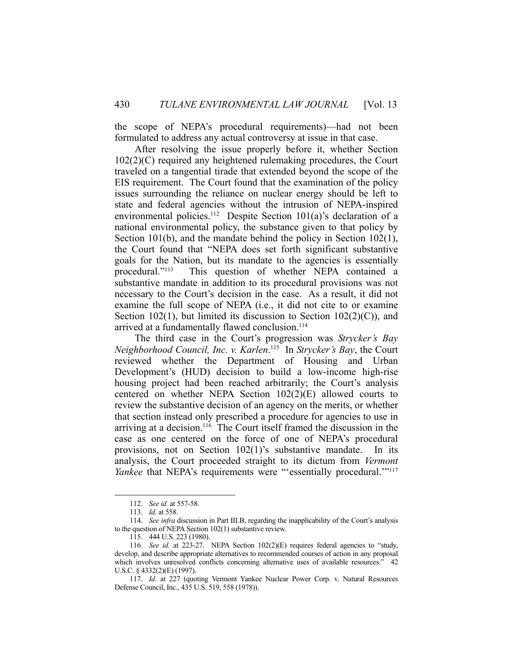the scope of NEPA's procedural requirements)—had not been formulated to address any actual controversy at issue in that case.

 After resolving the issue properly before it, whether Section 102(2)(C) required any heightened rulemaking procedures, the Court traveled on a tangential tirade that extended beyond the scope of the EIS requirement. The Court found that the examination of the policy issues surrounding the reliance on nuclear energy should be left to state and federal agencies without the intrusion of NEPA-inspired environmental policies.<sup>112</sup> Despite Section 101(a)'s declaration of a national environmental policy, the substance given to that policy by Section 101(b), and the mandate behind the policy in Section 102(1), the Court found that "NEPA does set forth significant substantive goals for the Nation, but its mandate to the agencies is essentially procedural."113 This question of whether NEPA contained a substantive mandate in addition to its procedural provisions was not necessary to the Court's decision in the case. As a result, it did not examine the full scope of NEPA (i.e., it did not cite to or examine Section 102(1), but limited its discussion to Section  $102(2)(C)$ , and arrived at a fundamentally flawed conclusion.<sup>114</sup>

 The third case in the Court's progression was *Strycker's Bay Neighborhood Council, Inc. v. Karlen*. 115 In *Strycker's Bay*, the Court reviewed whether the Department of Housing and Urban Development's (HUD) decision to build a low-income high-rise housing project had been reached arbitrarily; the Court's analysis centered on whether NEPA Section 102(2)(E) allowed courts to review the substantive decision of an agency on the merits, or whether that section instead only prescribed a procedure for agencies to use in arriving at a decision.<sup>116</sup> The Court itself framed the discussion in the case as one centered on the force of one of NEPA's procedural provisions, not on Section 102(1)'s substantive mandate. In its analysis, the Court proceeded straight to its dictum from *Vermont Yankee* that NEPA's requirements were "'essentially procedural."<sup>117</sup>

 <sup>112.</sup> *See id.* at 557-58.

 <sup>113.</sup> *Id.* at 558.

 <sup>114.</sup> *See infra* discussion in Part III.B, regarding the inapplicability of the Court's analysis to the question of NEPA Section 102(1) substantive review.

 <sup>115. 444</sup> U.S. 223 (1980).

 <sup>116.</sup> *See id.* at 223-27. NEPA Section 102(2)(E) requires federal agencies to "study, develop, and describe appropriate alternatives to recommended courses of action in any proposal which involves unresolved conflicts concerning alternative uses of available resources." 42 U.S.C. § 4332(2)(E) (1997).

 <sup>117.</sup> *Id.* at 227 (quoting Vermont Yankee Nuclear Power Corp. v. Natural Resources Defense Council, Inc., 435 U.S. 519, 558 (1978)).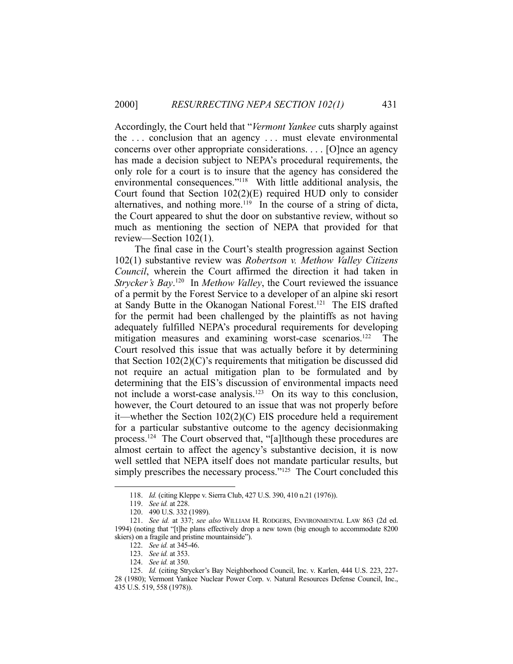Accordingly, the Court held that "*Vermont Yankee* cuts sharply against the . . . conclusion that an agency . . . must elevate environmental concerns over other appropriate considerations. . . . [O]nce an agency has made a decision subject to NEPA's procedural requirements, the only role for a court is to insure that the agency has considered the environmental consequences."<sup>118</sup> With little additional analysis, the Court found that Section 102(2)(E) required HUD only to consider alternatives, and nothing more.<sup>119</sup> In the course of a string of dicta, the Court appeared to shut the door on substantive review, without so much as mentioning the section of NEPA that provided for that review—Section 102(1).

 The final case in the Court's stealth progression against Section 102(1) substantive review was *Robertson v. Methow Valley Citizens Council*, wherein the Court affirmed the direction it had taken in *Strycker's Bay*. 120 In *Methow Valley*, the Court reviewed the issuance of a permit by the Forest Service to a developer of an alpine ski resort at Sandy Butte in the Okanogan National Forest.121 The EIS drafted for the permit had been challenged by the plaintiffs as not having adequately fulfilled NEPA's procedural requirements for developing mitigation measures and examining worst-case scenarios.<sup>122</sup> The Court resolved this issue that was actually before it by determining that Section  $102(2)(C)$ 's requirements that mitigation be discussed did not require an actual mitigation plan to be formulated and by determining that the EIS's discussion of environmental impacts need not include a worst-case analysis.123 On its way to this conclusion, however, the Court detoured to an issue that was not properly before it—whether the Section 102(2)(C) EIS procedure held a requirement for a particular substantive outcome to the agency decisionmaking process.124 The Court observed that, "[a]lthough these procedures are almost certain to affect the agency's substantive decision, it is now well settled that NEPA itself does not mandate particular results, but simply prescribes the necessary process."<sup>125</sup> The Court concluded this

 <sup>118.</sup> *Id.* (citing Kleppe v. Sierra Club, 427 U.S. 390, 410 n.21 (1976)).

 <sup>119.</sup> *See id.* at 228.

 <sup>120. 490</sup> U.S. 332 (1989).

 <sup>121.</sup> *See id.* at 337; *see also* WILLIAM H. RODGERS, ENVIRONMENTAL LAW 863 (2d ed. 1994) (noting that "[t]he plans effectively drop a new town (big enough to accommodate 8200 skiers) on a fragile and pristine mountainside").

 <sup>122.</sup> *See id.* at 345-46.

 <sup>123.</sup> *See id.* at 353.

 <sup>124.</sup> *See id.* at 350.

 <sup>125.</sup> *Id.* (citing Strycker's Bay Neighborhood Council, Inc. v. Karlen, 444 U.S. 223, 227- 28 (1980); Vermont Yankee Nuclear Power Corp. v. Natural Resources Defense Council, Inc., 435 U.S. 519, 558 (1978)).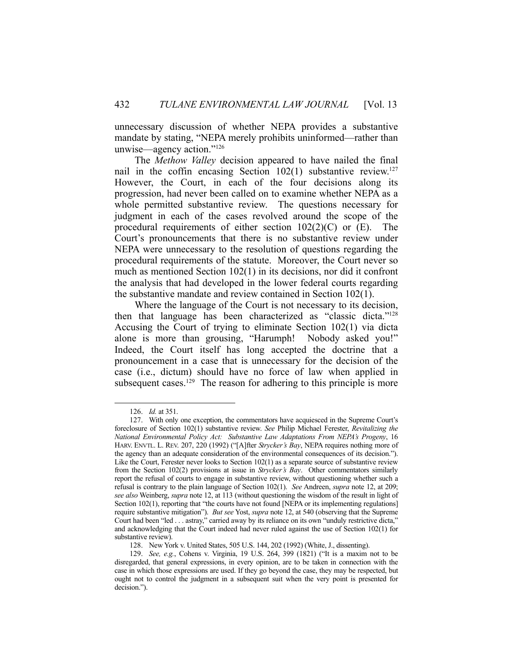unnecessary discussion of whether NEPA provides a substantive mandate by stating, "NEPA merely prohibits uninformed—rather than unwise—agency action."126

 The *Methow Valley* decision appeared to have nailed the final nail in the coffin encasing Section  $102(1)$  substantive review.<sup>127</sup> However, the Court, in each of the four decisions along its progression, had never been called on to examine whether NEPA as a whole permitted substantive review. The questions necessary for judgment in each of the cases revolved around the scope of the procedural requirements of either section  $102(2)(C)$  or  $(E)$ . The Court's pronouncements that there is no substantive review under NEPA were unnecessary to the resolution of questions regarding the procedural requirements of the statute. Moreover, the Court never so much as mentioned Section 102(1) in its decisions, nor did it confront the analysis that had developed in the lower federal courts regarding the substantive mandate and review contained in Section 102(1).

 Where the language of the Court is not necessary to its decision, then that language has been characterized as "classic dicta."128 Accusing the Court of trying to eliminate Section 102(1) via dicta alone is more than grousing, "Harumph! Nobody asked you!" Indeed, the Court itself has long accepted the doctrine that a pronouncement in a case that is unnecessary for the decision of the case (i.e., dictum) should have no force of law when applied in subsequent cases.<sup>129</sup> The reason for adhering to this principle is more

 <sup>126.</sup> *Id.* at 351.

 <sup>127.</sup> With only one exception, the commentators have acquiesced in the Supreme Court's foreclosure of Section 102(1) substantive review. *See* Philip Michael Ferester, *Revitalizing the National Environmental Policy Act: Substantive Law Adaptations From NEPA's Progeny*, 16 HARV. ENVTL. L. REV. 207, 220 (1992) ("[A]fter *Strycker's Bay*, NEPA requires nothing more of the agency than an adequate consideration of the environmental consequences of its decision."). Like the Court, Ferester never looks to Section 102(1) as a separate source of substantive review from the Section 102(2) provisions at issue in *Strycker's Bay*. Other commentators similarly report the refusal of courts to engage in substantive review, without questioning whether such a refusal is contrary to the plain language of Section 102(1). *See* Andreen, *supra* note 12, at 209; *see also* Weinberg, *supra* note 12, at 113 (without questioning the wisdom of the result in light of Section 102(1), reporting that "the courts have not found [NEPA or its implementing regulations] require substantive mitigation"). *But see* Yost, *supra* note 12, at 540 (observing that the Supreme Court had been "led . . . astray," carried away by its reliance on its own "unduly restrictive dicta," and acknowledging that the Court indeed had never ruled against the use of Section 102(1) for substantive review).

 <sup>128.</sup> New York v. United States, 505 U.S. 144, 202 (1992) (White, J., dissenting).

 <sup>129.</sup> *See, e.g.*, Cohens v. Virginia, 19 U.S. 264, 399 (1821) ("It is a maxim not to be disregarded, that general expressions, in every opinion, are to be taken in connection with the case in which those expressions are used. If they go beyond the case, they may be respected, but ought not to control the judgment in a subsequent suit when the very point is presented for decision.").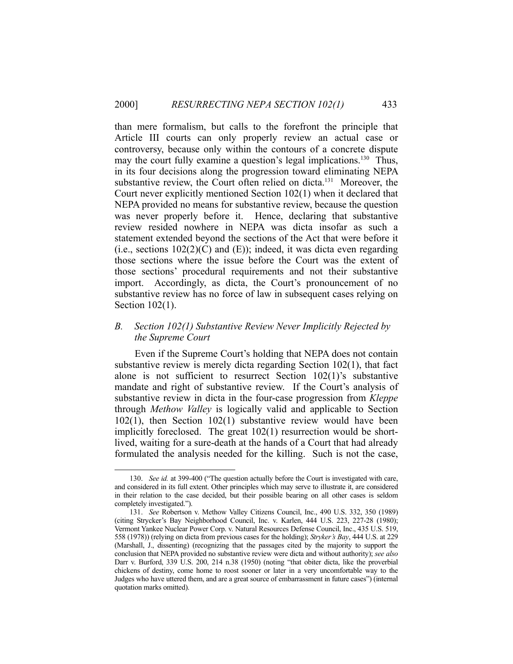than mere formalism, but calls to the forefront the principle that Article III courts can only properly review an actual case or controversy, because only within the contours of a concrete dispute may the court fully examine a question's legal implications.<sup>130</sup> Thus, in its four decisions along the progression toward eliminating NEPA substantive review, the Court often relied on dicta.<sup>131</sup> Moreover, the Court never explicitly mentioned Section 102(1) when it declared that NEPA provided no means for substantive review, because the question was never properly before it. Hence, declaring that substantive review resided nowhere in NEPA was dicta insofar as such a statement extended beyond the sections of the Act that were before it (i.e., sections  $102(2)(C)$  and (E)); indeed, it was dicta even regarding those sections where the issue before the Court was the extent of those sections' procedural requirements and not their substantive import. Accordingly, as dicta, the Court's pronouncement of no substantive review has no force of law in subsequent cases relying on Section 102(1).

## *B. Section 102(1) Substantive Review Never Implicitly Rejected by the Supreme Court*

 Even if the Supreme Court's holding that NEPA does not contain substantive review is merely dicta regarding Section 102(1), that fact alone is not sufficient to resurrect Section 102(1)'s substantive mandate and right of substantive review. If the Court's analysis of substantive review in dicta in the four-case progression from *Kleppe* through *Methow Valley* is logically valid and applicable to Section 102(1), then Section 102(1) substantive review would have been implicitly foreclosed. The great 102(1) resurrection would be shortlived, waiting for a sure-death at the hands of a Court that had already formulated the analysis needed for the killing. Such is not the case,

 <sup>130.</sup> *See id.* at 399-400 ("The question actually before the Court is investigated with care, and considered in its full extent. Other principles which may serve to illustrate it, are considered in their relation to the case decided, but their possible bearing on all other cases is seldom completely investigated.").

 <sup>131.</sup> *See* Robertson v. Methow Valley Citizens Council, Inc., 490 U.S. 332, 350 (1989) (citing Strycker's Bay Neighborhood Council, Inc. v. Karlen, 444 U.S. 223, 227-28 (1980); Vermont Yankee Nuclear Power Corp. v. Natural Resources Defense Council, Inc., 435 U.S. 519, 558 (1978)) (relying on dicta from previous cases for the holding); *Stryker's Bay*, 444 U.S. at 229 (Marshall, J., dissenting) (recognizing that the passages cited by the majority to support the conclusion that NEPA provided no substantive review were dicta and without authority); *see also* Darr v. Burford, 339 U.S. 200, 214 n.38 (1950) (noting "that obiter dicta, like the proverbial chickens of destiny, come home to roost sooner or later in a very uncomfortable way to the Judges who have uttered them, and are a great source of embarrassment in future cases") (internal quotation marks omitted).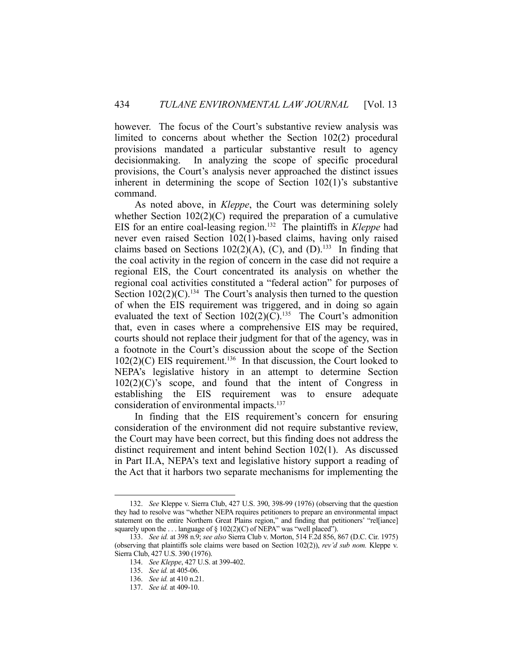however. The focus of the Court's substantive review analysis was limited to concerns about whether the Section 102(2) procedural provisions mandated a particular substantive result to agency decisionmaking. In analyzing the scope of specific procedural provisions, the Court's analysis never approached the distinct issues inherent in determining the scope of Section 102(1)'s substantive command.

 As noted above, in *Kleppe*, the Court was determining solely whether Section  $102(2)(C)$  required the preparation of a cumulative EIS for an entire coal-leasing region.132 The plaintiffs in *Kleppe* had never even raised Section 102(1)-based claims, having only raised claims based on Sections 102(2)(A), (C), and (D).<sup>133</sup> In finding that the coal activity in the region of concern in the case did not require a regional EIS, the Court concentrated its analysis on whether the regional coal activities constituted a "federal action" for purposes of Section  $102(2)(C)$ .<sup>134</sup> The Court's analysis then turned to the question of when the EIS requirement was triggered, and in doing so again evaluated the text of Section  $102(2)(C)$ .<sup>135</sup> The Court's admonition that, even in cases where a comprehensive EIS may be required, courts should not replace their judgment for that of the agency, was in a footnote in the Court's discussion about the scope of the Section  $102(2)(C)$  EIS requirement.<sup>136</sup> In that discussion, the Court looked to NEPA's legislative history in an attempt to determine Section 102(2)(C)'s scope, and found that the intent of Congress in establishing the EIS requirement was to ensure adequate consideration of environmental impacts.<sup>137</sup>

 In finding that the EIS requirement's concern for ensuring consideration of the environment did not require substantive review, the Court may have been correct, but this finding does not address the distinct requirement and intent behind Section 102(1). As discussed in Part II.A, NEPA's text and legislative history support a reading of the Act that it harbors two separate mechanisms for implementing the

 <sup>132.</sup> *See* Kleppe v. Sierra Club, 427 U.S. 390, 398-99 (1976) (observing that the question they had to resolve was "whether NEPA requires petitioners to prepare an environmental impact statement on the entire Northern Great Plains region," and finding that petitioners' "rel[iance] squarely upon the ... language of  $\S 102(2)(C)$  of NEPA" was "well placed").

 <sup>133.</sup> *See id.* at 398 n.9; *see also* Sierra Club v. Morton, 514 F.2d 856, 867 (D.C. Cir. 1975) (observing that plaintiffs sole claims were based on Section 102(2)), *rev'd sub nom.* Kleppe v. Sierra Club, 427 U.S. 390 (1976).

 <sup>134.</sup> *See Kleppe*, 427 U.S. at 399-402.

 <sup>135.</sup> *See id.* at 405-06.

 <sup>136.</sup> *See id.* at 410 n.21.

 <sup>137.</sup> *See id.* at 409-10.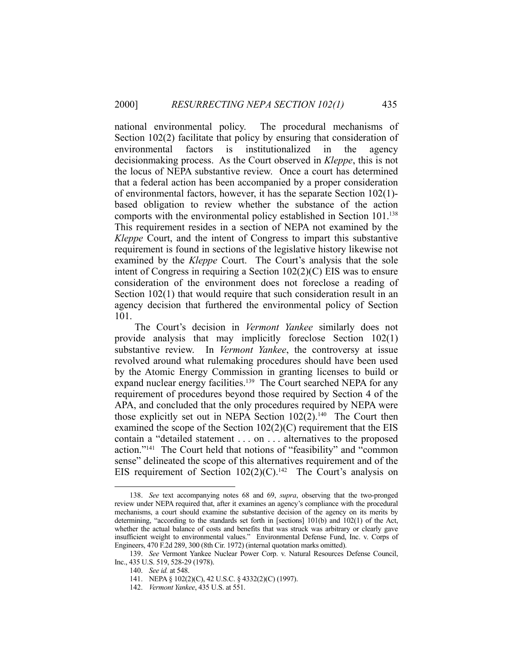national environmental policy. The procedural mechanisms of Section 102(2) facilitate that policy by ensuring that consideration of environmental factors is institutionalized in the agency decisionmaking process. As the Court observed in *Kleppe*, this is not the locus of NEPA substantive review. Once a court has determined that a federal action has been accompanied by a proper consideration of environmental factors, however, it has the separate Section 102(1) based obligation to review whether the substance of the action comports with the environmental policy established in Section 101.<sup>138</sup> This requirement resides in a section of NEPA not examined by the *Kleppe* Court, and the intent of Congress to impart this substantive requirement is found in sections of the legislative history likewise not examined by the *Kleppe* Court. The Court's analysis that the sole intent of Congress in requiring a Section 102(2)(C) EIS was to ensure consideration of the environment does not foreclose a reading of Section 102(1) that would require that such consideration result in an agency decision that furthered the environmental policy of Section 101.

 The Court's decision in *Vermont Yankee* similarly does not provide analysis that may implicitly foreclose Section 102(1) substantive review. In *Vermont Yankee*, the controversy at issue revolved around what rulemaking procedures should have been used by the Atomic Energy Commission in granting licenses to build or expand nuclear energy facilities.<sup>139</sup> The Court searched NEPA for any requirement of procedures beyond those required by Section 4 of the APA, and concluded that the only procedures required by NEPA were those explicitly set out in NEPA Section  $102(2)$ .<sup>140</sup> The Court then examined the scope of the Section  $102(2)(C)$  requirement that the EIS contain a "detailed statement . . . on . . . alternatives to the proposed action."141 The Court held that notions of "feasibility" and "common sense" delineated the scope of this alternatives requirement and of the EIS requirement of Section  $102(2)(C)$ .<sup>142</sup> The Court's analysis on

 <sup>138.</sup> *See* text accompanying notes 68 and 69, *supra*, observing that the two-pronged review under NEPA required that, after it examines an agency's compliance with the procedural mechanisms, a court should examine the substantive decision of the agency on its merits by determining, "according to the standards set forth in [sections] 101(b) and 102(1) of the Act, whether the actual balance of costs and benefits that was struck was arbitrary or clearly gave insufficient weight to environmental values." Environmental Defense Fund, Inc. v. Corps of Engineers, 470 F.2d 289, 300 (8th Cir. 1972) (internal quotation marks omitted).

 <sup>139.</sup> *See* Vermont Yankee Nuclear Power Corp. v. Natural Resources Defense Council, Inc., 435 U.S. 519, 528-29 (1978).

 <sup>140.</sup> *See id.* at 548.

 <sup>141.</sup> NEPA § 102(2)(C), 42 U.S.C. § 4332(2)(C) (1997).

 <sup>142.</sup> *Vermont Yankee*, 435 U.S. at 551.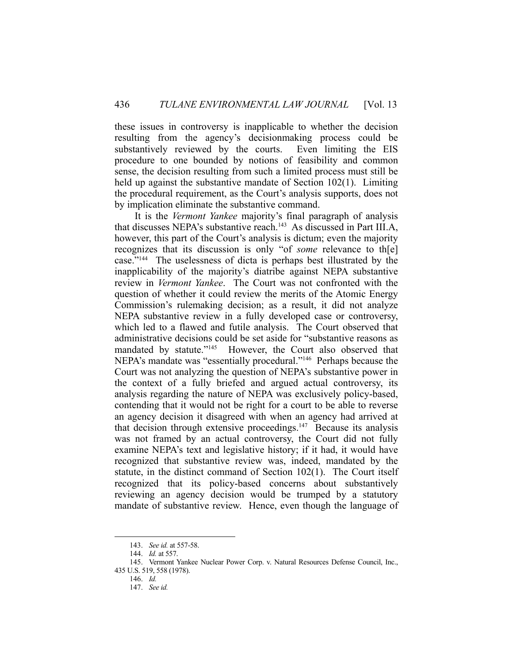these issues in controversy is inapplicable to whether the decision resulting from the agency's decisionmaking process could be substantively reviewed by the courts. Even limiting the EIS procedure to one bounded by notions of feasibility and common sense, the decision resulting from such a limited process must still be held up against the substantive mandate of Section 102(1). Limiting the procedural requirement, as the Court's analysis supports, does not by implication eliminate the substantive command.

 It is the *Vermont Yankee* majority's final paragraph of analysis that discusses NEPA's substantive reach.<sup>143</sup> As discussed in Part III.A, however, this part of the Court's analysis is dictum; even the majority recognizes that its discussion is only "of *some* relevance to th[e] case."144 The uselessness of dicta is perhaps best illustrated by the inapplicability of the majority's diatribe against NEPA substantive review in *Vermont Yankee*. The Court was not confronted with the question of whether it could review the merits of the Atomic Energy Commission's rulemaking decision; as a result, it did not analyze NEPA substantive review in a fully developed case or controversy, which led to a flawed and futile analysis. The Court observed that administrative decisions could be set aside for "substantive reasons as mandated by statute."<sup>145</sup> However, the Court also observed that NEPA's mandate was "essentially procedural."146 Perhaps because the Court was not analyzing the question of NEPA's substantive power in the context of a fully briefed and argued actual controversy, its analysis regarding the nature of NEPA was exclusively policy-based, contending that it would not be right for a court to be able to reverse an agency decision it disagreed with when an agency had arrived at that decision through extensive proceedings.<sup>147</sup> Because its analysis was not framed by an actual controversy, the Court did not fully examine NEPA's text and legislative history; if it had, it would have recognized that substantive review was, indeed, mandated by the statute, in the distinct command of Section 102(1). The Court itself recognized that its policy-based concerns about substantively reviewing an agency decision would be trumped by a statutory mandate of substantive review. Hence, even though the language of

 <sup>143.</sup> *See id.* at 557-58.

 <sup>144.</sup> *Id.* at 557.

 <sup>145.</sup> Vermont Yankee Nuclear Power Corp. v. Natural Resources Defense Council, Inc., 435 U.S. 519, 558 (1978).

 <sup>146.</sup> *Id.* 

 <sup>147.</sup> *See id.*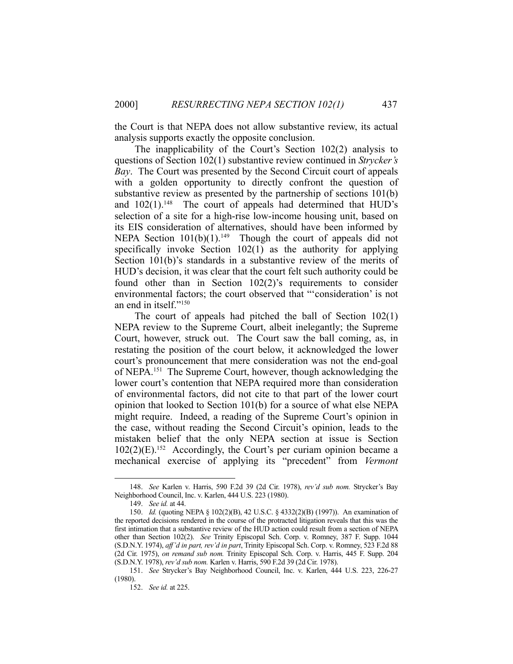the Court is that NEPA does not allow substantive review, its actual analysis supports exactly the opposite conclusion.

 The inapplicability of the Court's Section 102(2) analysis to questions of Section 102(1) substantive review continued in *Strycker's Bay*. The Court was presented by the Second Circuit court of appeals with a golden opportunity to directly confront the question of substantive review as presented by the partnership of sections 101(b) and  $102(1)$ .<sup>148</sup> The court of appeals had determined that HUD's selection of a site for a high-rise low-income housing unit, based on its EIS consideration of alternatives, should have been informed by NEPA Section  $101(b)(1)$ .<sup>149</sup> Though the court of appeals did not specifically invoke Section 102(1) as the authority for applying Section 101(b)'s standards in a substantive review of the merits of HUD's decision, it was clear that the court felt such authority could be found other than in Section 102(2)'s requirements to consider environmental factors; the court observed that "'consideration' is not an end in itself."150

 The court of appeals had pitched the ball of Section 102(1) NEPA review to the Supreme Court, albeit inelegantly; the Supreme Court, however, struck out. The Court saw the ball coming, as, in restating the position of the court below, it acknowledged the lower court's pronouncement that mere consideration was not the end-goal of NEPA.151 The Supreme Court, however, though acknowledging the lower court's contention that NEPA required more than consideration of environmental factors, did not cite to that part of the lower court opinion that looked to Section 101(b) for a source of what else NEPA might require. Indeed, a reading of the Supreme Court's opinion in the case, without reading the Second Circuit's opinion, leads to the mistaken belief that the only NEPA section at issue is Section  $102(2)$ (E).<sup>152</sup> Accordingly, the Court's per curiam opinion became a mechanical exercise of applying its "precedent" from *Vermont* 

 <sup>148.</sup> *See* Karlen v. Harris, 590 F.2d 39 (2d Cir. 1978), *rev'd sub nom.* Strycker's Bay Neighborhood Council, Inc. v. Karlen, 444 U.S. 223 (1980).

 <sup>149.</sup> *See id.* at 44.

 <sup>150.</sup> *Id.* (quoting NEPA § 102(2)(B), 42 U.S.C. § 4332(2)(B) (1997)). An examination of the reported decisions rendered in the course of the protracted litigation reveals that this was the first intimation that a substantive review of the HUD action could result from a section of NEPA other than Section 102(2). *See* Trinity Episcopal Sch. Corp. v. Romney, 387 F. Supp. 1044 (S.D.N.Y. 1974), *aff'd in part, rev'd in part*, Trinity Episcopal Sch. Corp. v. Romney, 523 F.2d 88 (2d Cir. 1975), *on remand sub nom.* Trinity Episcopal Sch. Corp. v. Harris, 445 F. Supp. 204 (S.D.N.Y. 1978), *rev'd sub nom.* Karlen v. Harris, 590 F.2d 39 (2d Cir. 1978).

 <sup>151.</sup> *See* Strycker's Bay Neighborhood Council, Inc. v. Karlen, 444 U.S. 223, 226-27 (1980).

 <sup>152.</sup> *See id.* at 225.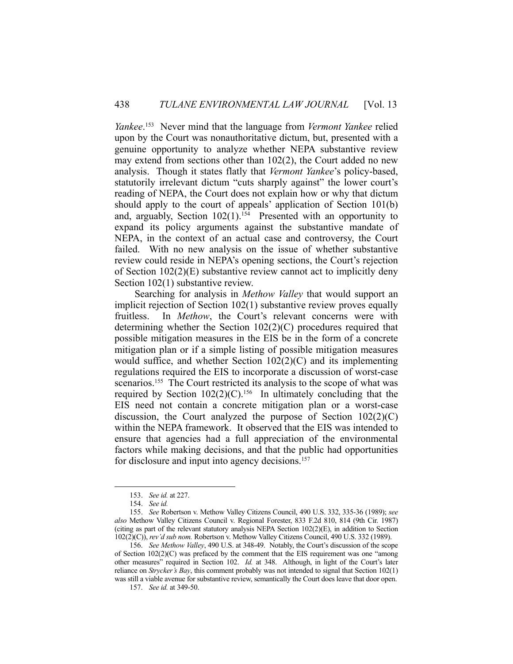*Yankee*. 153 Never mind that the language from *Vermont Yankee* relied upon by the Court was nonauthoritative dictum, but, presented with a genuine opportunity to analyze whether NEPA substantive review may extend from sections other than 102(2), the Court added no new analysis. Though it states flatly that *Vermont Yankee*'s policy-based, statutorily irrelevant dictum "cuts sharply against" the lower court's reading of NEPA, the Court does not explain how or why that dictum should apply to the court of appeals' application of Section 101(b) and, arguably, Section  $102(1)$ .<sup>154</sup> Presented with an opportunity to expand its policy arguments against the substantive mandate of NEPA, in the context of an actual case and controversy, the Court failed. With no new analysis on the issue of whether substantive review could reside in NEPA's opening sections, the Court's rejection of Section 102(2)(E) substantive review cannot act to implicitly deny Section 102(1) substantive review.

 Searching for analysis in *Methow Valley* that would support an implicit rejection of Section 102(1) substantive review proves equally fruitless. In *Methow*, the Court's relevant concerns were with determining whether the Section 102(2)(C) procedures required that possible mitigation measures in the EIS be in the form of a concrete mitigation plan or if a simple listing of possible mitigation measures would suffice, and whether Section 102(2)(C) and its implementing regulations required the EIS to incorporate a discussion of worst-case scenarios.<sup>155</sup> The Court restricted its analysis to the scope of what was required by Section  $102(2)(C)$ .<sup>156</sup> In ultimately concluding that the EIS need not contain a concrete mitigation plan or a worst-case discussion, the Court analyzed the purpose of Section  $102(2)(C)$ within the NEPA framework. It observed that the EIS was intended to ensure that agencies had a full appreciation of the environmental factors while making decisions, and that the public had opportunities for disclosure and input into agency decisions.<sup>157</sup>

 <sup>153.</sup> *See id.* at 227.

 <sup>154.</sup> *See id.* 

 <sup>155.</sup> *See* Robertson v. Methow Valley Citizens Council, 490 U.S. 332, 335-36 (1989); *see also* Methow Valley Citizens Council v. Regional Forester, 833 F.2d 810, 814 (9th Cir. 1987) (citing as part of the relevant statutory analysis NEPA Section  $102(2)(E)$ , in addition to Section 102(2)(C)), *rev'd sub nom.* Robertson v. Methow Valley Citizens Council, 490 U.S. 332 (1989).

 <sup>156.</sup> *See Methow Valley*, 490 U.S. at 348-49. Notably, the Court's discussion of the scope of Section  $102(2)(C)$  was prefaced by the comment that the EIS requirement was one "among other measures" required in Section 102. *Id.* at 348. Although, in light of the Court's later reliance on *Strycker's Bay*, this comment probably was not intended to signal that Section 102(1) was still a viable avenue for substantive review, semantically the Court does leave that door open.

 <sup>157.</sup> *See id.* at 349-50.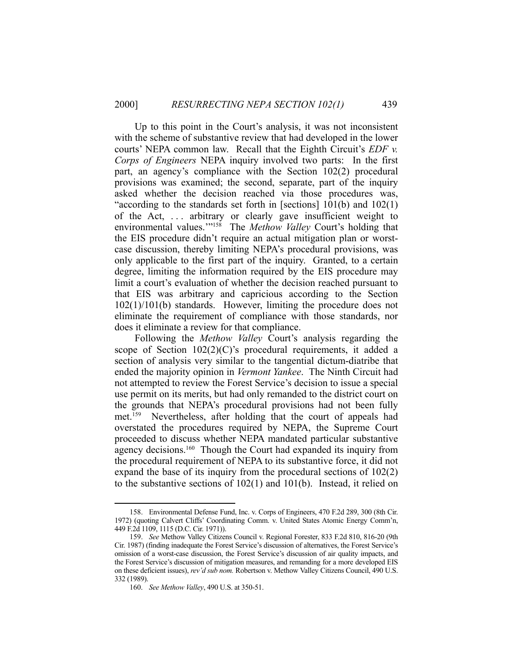Up to this point in the Court's analysis, it was not inconsistent with the scheme of substantive review that had developed in the lower courts' NEPA common law. Recall that the Eighth Circuit's *EDF v. Corps of Engineers* NEPA inquiry involved two parts: In the first part, an agency's compliance with the Section 102(2) procedural provisions was examined; the second, separate, part of the inquiry asked whether the decision reached via those procedures was, "according to the standards set forth in [sections] 101(b) and 102(1) of the Act, . . . arbitrary or clearly gave insufficient weight to environmental values.'"158 The *Methow Valley* Court's holding that the EIS procedure didn't require an actual mitigation plan or worstcase discussion, thereby limiting NEPA's procedural provisions, was only applicable to the first part of the inquiry. Granted, to a certain degree, limiting the information required by the EIS procedure may limit a court's evaluation of whether the decision reached pursuant to that EIS was arbitrary and capricious according to the Section 102(1)/101(b) standards. However, limiting the procedure does not eliminate the requirement of compliance with those standards, nor does it eliminate a review for that compliance.

 Following the *Methow Valley* Court's analysis regarding the scope of Section 102(2)(C)'s procedural requirements, it added a section of analysis very similar to the tangential dictum-diatribe that ended the majority opinion in *Vermont Yankee*. The Ninth Circuit had not attempted to review the Forest Service's decision to issue a special use permit on its merits, but had only remanded to the district court on the grounds that NEPA's procedural provisions had not been fully met.159 Nevertheless, after holding that the court of appeals had overstated the procedures required by NEPA, the Supreme Court proceeded to discuss whether NEPA mandated particular substantive agency decisions.<sup>160</sup> Though the Court had expanded its inquiry from the procedural requirement of NEPA to its substantive force, it did not expand the base of its inquiry from the procedural sections of 102(2) to the substantive sections of 102(1) and 101(b). Instead, it relied on

 <sup>158.</sup> Environmental Defense Fund, Inc. v. Corps of Engineers, 470 F.2d 289, 300 (8th Cir. 1972) (quoting Calvert Cliffs' Coordinating Comm. v. United States Atomic Energy Comm'n, 449 F.2d 1109, 1115 (D.C. Cir. 1971)).

 <sup>159.</sup> *See* Methow Valley Citizens Council v. Regional Forester, 833 F.2d 810, 816-20 (9th Cir. 1987) (finding inadequate the Forest Service's discussion of alternatives, the Forest Service's omission of a worst-case discussion, the Forest Service's discussion of air quality impacts, and the Forest Service's discussion of mitigation measures, and remanding for a more developed EIS on these deficient issues), *rev'd sub nom.* Robertson v. Methow Valley Citizens Council, 490 U.S. 332 (1989).

 <sup>160.</sup> *See Methow Valley*, 490 U.S. at 350-51.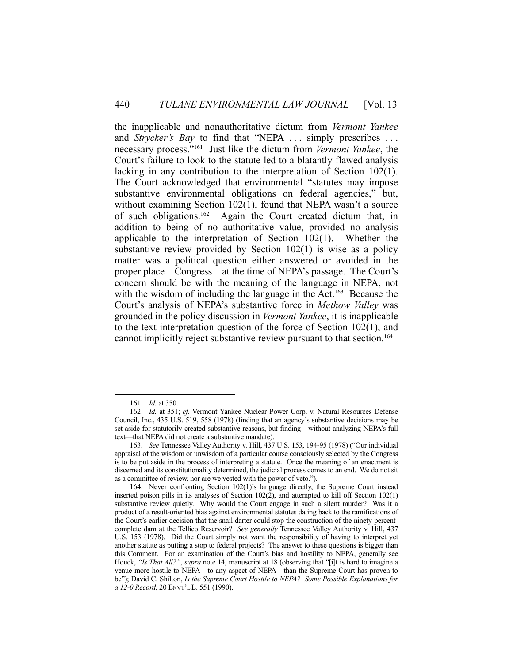the inapplicable and nonauthoritative dictum from *Vermont Yankee* and *Strycker's Bay* to find that "NEPA ... simply prescribes ... necessary process."161 Just like the dictum from *Vermont Yankee*, the Court's failure to look to the statute led to a blatantly flawed analysis lacking in any contribution to the interpretation of Section 102(1). The Court acknowledged that environmental "statutes may impose substantive environmental obligations on federal agencies," but, without examining Section 102(1), found that NEPA wasn't a source of such obligations.162 Again the Court created dictum that, in addition to being of no authoritative value, provided no analysis applicable to the interpretation of Section 102(1). Whether the substantive review provided by Section 102(1) is wise as a policy matter was a political question either answered or avoided in the proper place—Congress—at the time of NEPA's passage. The Court's concern should be with the meaning of the language in NEPA, not with the wisdom of including the language in the Act.<sup>163</sup> Because the Court's analysis of NEPA's substantive force in *Methow Valley* was grounded in the policy discussion in *Vermont Yankee*, it is inapplicable to the text-interpretation question of the force of Section 102(1), and cannot implicitly reject substantive review pursuant to that section.<sup>164</sup>

 <sup>161.</sup> *Id.* at 350.

 <sup>162.</sup> *Id.* at 351; *cf.* Vermont Yankee Nuclear Power Corp. v. Natural Resources Defense Council, Inc., 435 U.S. 519, 558 (1978) (finding that an agency's substantive decisions may be set aside for statutorily created substantive reasons, but finding—without analyzing NEPA's full text—that NEPA did not create a substantive mandate).

 <sup>163.</sup> *See* Tennessee Valley Authority v. Hill, 437 U.S. 153, 194-95 (1978) ("Our individual appraisal of the wisdom or unwisdom of a particular course consciously selected by the Congress is to be put aside in the process of interpreting a statute. Once the meaning of an enactment is discerned and its constitutionality determined, the judicial process comes to an end. We do not sit as a committee of review, nor are we vested with the power of veto.").

 <sup>164.</sup> Never confronting Section 102(1)'s language directly, the Supreme Court instead inserted poison pills in its analyses of Section 102(2), and attempted to kill off Section 102(1) substantive review quietly. Why would the Court engage in such a silent murder? Was it a product of a result-oriented bias against environmental statutes dating back to the ramifications of the Court's earlier decision that the snail darter could stop the construction of the ninety-percentcomplete dam at the Tellico Reservoir? *See generally* Tennessee Valley Authority v. Hill, 437 U.S. 153 (1978). Did the Court simply not want the responsibility of having to interpret yet another statute as putting a stop to federal projects? The answer to these questions is bigger than this Comment. For an examination of the Court's bias and hostility to NEPA, generally see Houck, *"Is That All?"*, *supra* note 14, manuscript at 18 (observing that "[i]t is hard to imagine a venue more hostile to NEPA—to any aspect of NEPA—than the Supreme Court has proven to be"); David C. Shilton, *Is the Supreme Court Hostile to NEPA?* Some Possible Explanations for *a 12-0 Record*, 20 ENVT'L L. 551 (1990).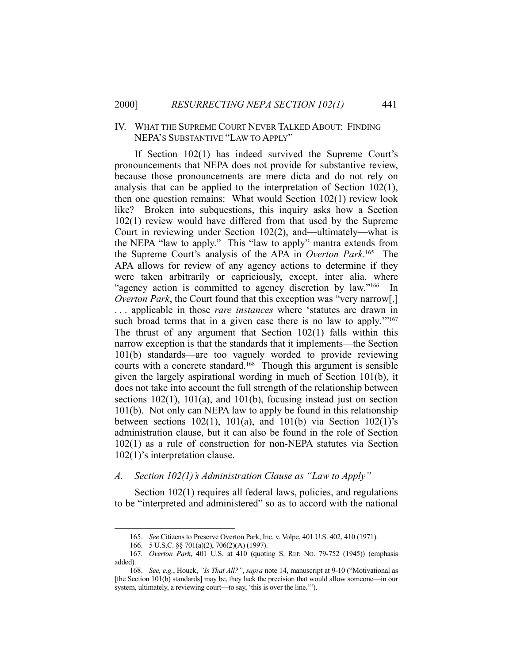#### IV. WHAT THE SUPREME COURT NEVER TALKED ABOUT: FINDING NEPA'S SUBSTANTIVE "LAW TO APPLY"

 If Section 102(1) has indeed survived the Supreme Court's pronouncements that NEPA does not provide for substantive review, because those pronouncements are mere dicta and do not rely on analysis that can be applied to the interpretation of Section 102(1), then one question remains: What would Section 102(1) review look like? Broken into subquestions, this inquiry asks how a Section 102(1) review would have differed from that used by the Supreme Court in reviewing under Section 102(2), and—ultimately—what is the NEPA "law to apply." This "law to apply" mantra extends from the Supreme Court's analysis of the APA in *Overton Park*. 165 The APA allows for review of any agency actions to determine if they were taken arbitrarily or capriciously, except, inter alia, where "agency action is committed to agency discretion by law."166 In *Overton Park*, the Court found that this exception was "very narrow[,] . . . applicable in those *rare instances* where 'statutes are drawn in such broad terms that in a given case there is no law to apply."<sup>167</sup> The thrust of any argument that Section 102(1) falls within this narrow exception is that the standards that it implements—the Section 101(b) standards—are too vaguely worded to provide reviewing courts with a concrete standard.<sup>168</sup> Though this argument is sensible given the largely aspirational wording in much of Section 101(b), it does not take into account the full strength of the relationship between sections 102(1), 101(a), and 101(b), focusing instead just on section 101(b). Not only can NEPA law to apply be found in this relationship between sections  $102(1)$ ,  $101(a)$ , and  $101(b)$  via Section  $102(1)$ 's administration clause, but it can also be found in the role of Section 102(1) as a rule of construction for non-NEPA statutes via Section 102(1)'s interpretation clause.

#### *A. Section 102(1)'s Administration Clause as "Law to Apply"*

 Section 102(1) requires all federal laws, policies, and regulations to be "interpreted and administered" so as to accord with the national

 <sup>165.</sup> *See* Citizens to Preserve Overton Park, Inc. v. Volpe, 401 U.S. 402, 410 (1971).

 <sup>166. 5</sup> U.S.C. §§ 701(a)(2), 706(2)(A) (1997).

 <sup>167.</sup> *Overton Park*, 401 U.S. at 410 (quoting S. REP. NO. 79-752 (1945)) (emphasis added).

 <sup>168.</sup> *See, e.g.*, Houck, *"Is That All?"*, *supra* note 14, manuscript at 9-10 ("Motivational as [the Section 101(b) standards] may be, they lack the precision that would allow someone—in our system, ultimately, a reviewing court—to say, 'this is over the line.'").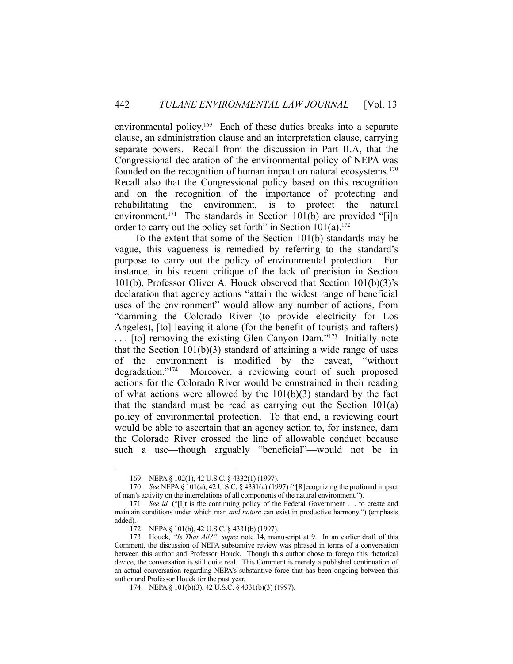environmental policy.<sup>169</sup> Each of these duties breaks into a separate clause, an administration clause and an interpretation clause, carrying separate powers. Recall from the discussion in Part II.A, that the Congressional declaration of the environmental policy of NEPA was founded on the recognition of human impact on natural ecosystems.<sup>170</sup> Recall also that the Congressional policy based on this recognition and on the recognition of the importance of protecting and rehabilitating the environment, is to protect the natural environment.<sup>171</sup> The standards in Section 101(b) are provided "[i]n order to carry out the policy set forth" in Section  $101(a)$ .<sup>172</sup>

 To the extent that some of the Section 101(b) standards may be vague, this vagueness is remedied by referring to the standard's purpose to carry out the policy of environmental protection. For instance, in his recent critique of the lack of precision in Section 101(b), Professor Oliver A. Houck observed that Section 101(b)(3)'s declaration that agency actions "attain the widest range of beneficial uses of the environment" would allow any number of actions, from "damming the Colorado River (to provide electricity for Los Angeles), [to] leaving it alone (for the benefit of tourists and rafters) . . . [to] removing the existing Glen Canyon Dam."173 Initially note that the Section  $101(b)(3)$  standard of attaining a wide range of uses of the environment is modified by the caveat, "without degradation."174 Moreover, a reviewing court of such proposed actions for the Colorado River would be constrained in their reading of what actions were allowed by the 101(b)(3) standard by the fact that the standard must be read as carrying out the Section 101(a) policy of environmental protection. To that end, a reviewing court would be able to ascertain that an agency action to, for instance, dam the Colorado River crossed the line of allowable conduct because such a use—though arguably "beneficial"—would not be in

 <sup>169.</sup> NEPA § 102(1), 42 U.S.C. § 4332(1) (1997).

 <sup>170.</sup> *See* NEPA § 101(a), 42 U.S.C. § 4331(a) (1997) ("[R]ecognizing the profound impact of man's activity on the interrelations of all components of the natural environment.").

<sup>171.</sup> *See id.* ("[I]t is the continuing policy of the Federal Government . . . to create and maintain conditions under which man *and nature* can exist in productive harmony.") (emphasis added).

 <sup>172.</sup> NEPA § 101(b), 42 U.S.C. § 4331(b) (1997).

 <sup>173.</sup> Houck, *"Is That All?"*, *supra* note 14, manuscript at 9. In an earlier draft of this Comment, the discussion of NEPA substantive review was phrased in terms of a conversation between this author and Professor Houck. Though this author chose to forego this rhetorical device, the conversation is still quite real. This Comment is merely a published continuation of an actual conversation regarding NEPA's substantive force that has been ongoing between this author and Professor Houck for the past year.

 <sup>174.</sup> NEPA § 101(b)(3), 42 U.S.C. § 4331(b)(3) (1997).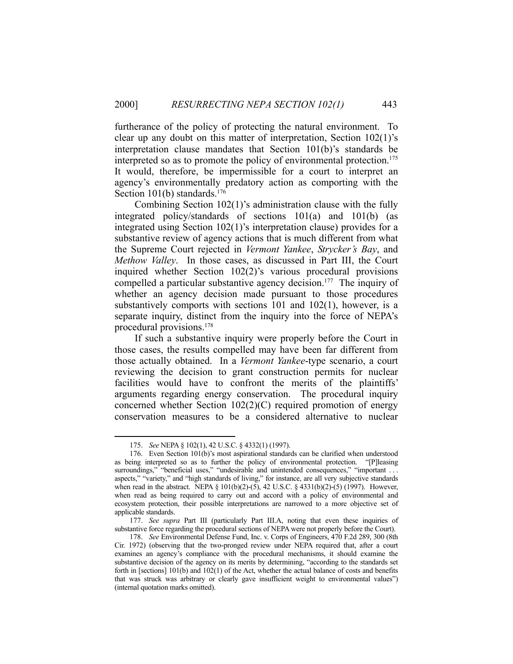furtherance of the policy of protecting the natural environment. To clear up any doubt on this matter of interpretation, Section 102(1)'s interpretation clause mandates that Section 101(b)'s standards be interpreted so as to promote the policy of environmental protection.<sup>175</sup> It would, therefore, be impermissible for a court to interpret an agency's environmentally predatory action as comporting with the Section 101(b) standards.<sup>176</sup>

 Combining Section 102(1)'s administration clause with the fully integrated policy/standards of sections 101(a) and 101(b) (as integrated using Section 102(1)'s interpretation clause) provides for a substantive review of agency actions that is much different from what the Supreme Court rejected in *Vermont Yankee*, *Strycker's Bay*, and *Methow Valley*. In those cases, as discussed in Part III, the Court inquired whether Section 102(2)'s various procedural provisions compelled a particular substantive agency decision.<sup>177</sup> The inquiry of whether an agency decision made pursuant to those procedures substantively comports with sections 101 and 102(1), however, is a separate inquiry, distinct from the inquiry into the force of NEPA's procedural provisions.178

 If such a substantive inquiry were properly before the Court in those cases, the results compelled may have been far different from those actually obtained. In a *Vermont Yankee*-type scenario, a court reviewing the decision to grant construction permits for nuclear facilities would have to confront the merits of the plaintiffs' arguments regarding energy conservation. The procedural inquiry concerned whether Section 102(2)(C) required promotion of energy conservation measures to be a considered alternative to nuclear

 <sup>175.</sup> *See* NEPA § 102(1), 42 U.S.C. § 4332(1) (1997).

 <sup>176.</sup> Even Section 101(b)'s most aspirational standards can be clarified when understood as being interpreted so as to further the policy of environmental protection. "[P]leasing surroundings," "beneficial uses," "undesirable and unintended consequences," "important ... aspects," "variety," and "high standards of living," for instance, are all very subjective standards when read in the abstract. NEPA § 101(b)(2)-(5), 42 U.S.C. § 4331(b)(2)-(5) (1997). However, when read as being required to carry out and accord with a policy of environmental and ecosystem protection, their possible interpretations are narrowed to a more objective set of applicable standards.

 <sup>177.</sup> *See supra* Part III (particularly Part III.A, noting that even these inquiries of substantive force regarding the procedural sections of NEPA were not properly before the Court).

 <sup>178.</sup> *See* Environmental Defense Fund, Inc. v. Corps of Engineers, 470 F.2d 289, 300 (8th Cir. 1972) (observing that the two-pronged review under NEPA required that, after a court examines an agency's compliance with the procedural mechanisms, it should examine the substantive decision of the agency on its merits by determining, "according to the standards set forth in [sections] 101(b) and 102(1) of the Act, whether the actual balance of costs and benefits that was struck was arbitrary or clearly gave insufficient weight to environmental values") (internal quotation marks omitted).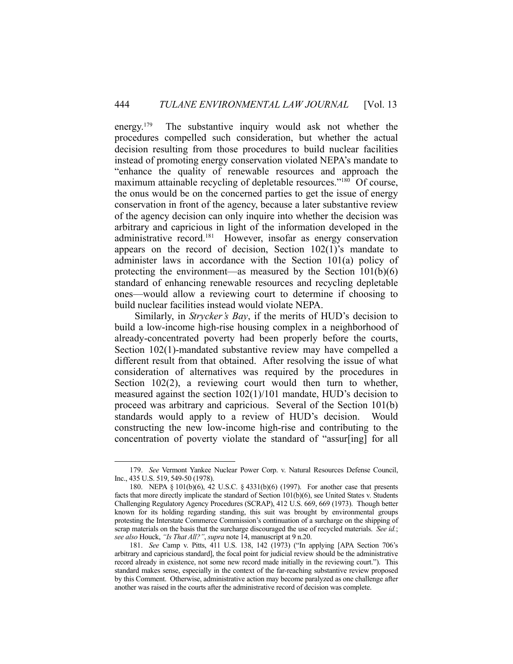energy.179 The substantive inquiry would ask not whether the procedures compelled such consideration, but whether the actual decision resulting from those procedures to build nuclear facilities instead of promoting energy conservation violated NEPA's mandate to "enhance the quality of renewable resources and approach the maximum attainable recycling of depletable resources."<sup>180</sup> Of course, the onus would be on the concerned parties to get the issue of energy conservation in front of the agency, because a later substantive review of the agency decision can only inquire into whether the decision was arbitrary and capricious in light of the information developed in the administrative record.<sup>181</sup> However, insofar as energy conservation appears on the record of decision, Section 102(1)'s mandate to administer laws in accordance with the Section 101(a) policy of protecting the environment—as measured by the Section 101(b)(6) standard of enhancing renewable resources and recycling depletable ones—would allow a reviewing court to determine if choosing to build nuclear facilities instead would violate NEPA.

 Similarly, in *Strycker's Bay*, if the merits of HUD's decision to build a low-income high-rise housing complex in a neighborhood of already-concentrated poverty had been properly before the courts, Section 102(1)-mandated substantive review may have compelled a different result from that obtained. After resolving the issue of what consideration of alternatives was required by the procedures in Section 102(2), a reviewing court would then turn to whether, measured against the section 102(1)/101 mandate, HUD's decision to proceed was arbitrary and capricious. Several of the Section 101(b) standards would apply to a review of HUD's decision. Would constructing the new low-income high-rise and contributing to the concentration of poverty violate the standard of "assur[ing] for all

 <sup>179.</sup> *See* Vermont Yankee Nuclear Power Corp. v. Natural Resources Defense Council, Inc., 435 U.S. 519, 549-50 (1978).

 <sup>180.</sup> NEPA § 101(b)(6), 42 U.S.C. § 4331(b)(6) (1997). For another case that presents facts that more directly implicate the standard of Section 101(b)(6), see United States v. Students Challenging Regulatory Agency Procedures (SCRAP), 412 U.S. 669, 669 (1973). Though better known for its holding regarding standing, this suit was brought by environmental groups protesting the Interstate Commerce Commission's continuation of a surcharge on the shipping of scrap materials on the basis that the surcharge discouraged the use of recycled materials. *See id.*; *see also* Houck, *"Is That All?"*, *supra* note 14, manuscript at 9 n.20.

 <sup>181.</sup> *See* Camp v. Pitts, 411 U.S. 138, 142 (1973) ("In applying [APA Section 706's arbitrary and capricious standard], the focal point for judicial review should be the administrative record already in existence, not some new record made initially in the reviewing court."). This standard makes sense, especially in the context of the far-reaching substantive review proposed by this Comment. Otherwise, administrative action may become paralyzed as one challenge after another was raised in the courts after the administrative record of decision was complete.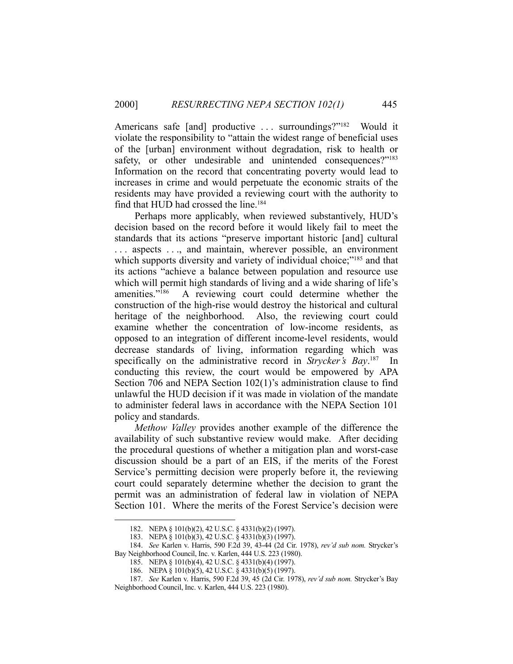Americans safe [and] productive ... surroundings?"<sup>182</sup> Would it violate the responsibility to "attain the widest range of beneficial uses of the [urban] environment without degradation, risk to health or safety, or other undesirable and unintended consequences?"<sup>183</sup> Information on the record that concentrating poverty would lead to increases in crime and would perpetuate the economic straits of the residents may have provided a reviewing court with the authority to find that HUD had crossed the line.<sup>184</sup>

 Perhaps more applicably, when reviewed substantively, HUD's decision based on the record before it would likely fail to meet the standards that its actions "preserve important historic [and] cultural . . . aspects . . ., and maintain, wherever possible, an environment which supports diversity and variety of individual choice;"<sup>185</sup> and that its actions "achieve a balance between population and resource use which will permit high standards of living and a wide sharing of life's amenities."186 A reviewing court could determine whether the construction of the high-rise would destroy the historical and cultural heritage of the neighborhood. Also, the reviewing court could examine whether the concentration of low-income residents, as opposed to an integration of different income-level residents, would decrease standards of living, information regarding which was specifically on the administrative record in *Strycker's Bay*. 187 In conducting this review, the court would be empowered by APA Section 706 and NEPA Section 102(1)'s administration clause to find unlawful the HUD decision if it was made in violation of the mandate to administer federal laws in accordance with the NEPA Section 101 policy and standards.

 *Methow Valley* provides another example of the difference the availability of such substantive review would make. After deciding the procedural questions of whether a mitigation plan and worst-case discussion should be a part of an EIS, if the merits of the Forest Service's permitting decision were properly before it, the reviewing court could separately determine whether the decision to grant the permit was an administration of federal law in violation of NEPA Section 101. Where the merits of the Forest Service's decision were

 <sup>182.</sup> NEPA § 101(b)(2), 42 U.S.C. § 4331(b)(2) (1997).

 <sup>183.</sup> NEPA § 101(b)(3), 42 U.S.C. § 4331(b)(3) (1997).

 <sup>184.</sup> *See* Karlen v. Harris, 590 F.2d 39, 43-44 (2d Cir. 1978), *rev'd sub nom.* Strycker's Bay Neighborhood Council, Inc. v. Karlen, 444 U.S. 223 (1980).

 <sup>185.</sup> NEPA § 101(b)(4), 42 U.S.C. § 4331(b)(4) (1997).

 <sup>186.</sup> NEPA § 101(b)(5), 42 U.S.C. § 4331(b)(5) (1997).

 <sup>187.</sup> *See* Karlen v. Harris, 590 F.2d 39, 45 (2d Cir. 1978), *rev'd sub nom.* Strycker's Bay Neighborhood Council, Inc. v. Karlen, 444 U.S. 223 (1980).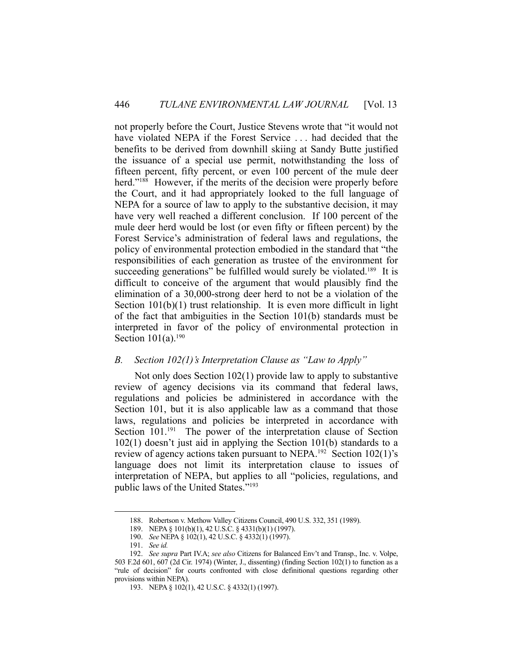not properly before the Court, Justice Stevens wrote that "it would not have violated NEPA if the Forest Service . . . had decided that the benefits to be derived from downhill skiing at Sandy Butte justified the issuance of a special use permit, notwithstanding the loss of fifteen percent, fifty percent, or even 100 percent of the mule deer herd."<sup>188</sup> However, if the merits of the decision were properly before the Court, and it had appropriately looked to the full language of NEPA for a source of law to apply to the substantive decision, it may have very well reached a different conclusion. If 100 percent of the mule deer herd would be lost (or even fifty or fifteen percent) by the Forest Service's administration of federal laws and regulations, the policy of environmental protection embodied in the standard that "the responsibilities of each generation as trustee of the environment for succeeding generations" be fulfilled would surely be violated.<sup>189</sup> It is difficult to conceive of the argument that would plausibly find the elimination of a 30,000-strong deer herd to not be a violation of the Section 101(b)(1) trust relationship. It is even more difficult in light of the fact that ambiguities in the Section 101(b) standards must be interpreted in favor of the policy of environmental protection in Section  $101(a)$ .<sup>190</sup>

## *B. Section 102(1)'s Interpretation Clause as "Law to Apply"*

 Not only does Section 102(1) provide law to apply to substantive review of agency decisions via its command that federal laws, regulations and policies be administered in accordance with the Section 101, but it is also applicable law as a command that those laws, regulations and policies be interpreted in accordance with Section 101.<sup>191</sup> The power of the interpretation clause of Section 102(1) doesn't just aid in applying the Section 101(b) standards to a review of agency actions taken pursuant to NEPA.<sup>192</sup> Section 102(1)'s language does not limit its interpretation clause to issues of interpretation of NEPA, but applies to all "policies, regulations, and public laws of the United States."193

 <sup>188.</sup> Robertson v. Methow Valley Citizens Council, 490 U.S. 332, 351 (1989).

 <sup>189.</sup> NEPA § 101(b)(1), 42 U.S.C. § 4331(b)(1) (1997).

 <sup>190.</sup> *See* NEPA § 102(1), 42 U.S.C. § 4332(1) (1997).

 <sup>191.</sup> *See id.* 

 <sup>192.</sup> *See supra* Part IV.A; *see also* Citizens for Balanced Env't and Transp., Inc. v. Volpe, 503 F.2d 601, 607 (2d Cir. 1974) (Winter, J., dissenting) (finding Section 102(1) to function as a "rule of decision" for courts confronted with close definitional questions regarding other provisions within NEPA).

 <sup>193.</sup> NEPA § 102(1), 42 U.S.C. § 4332(1) (1997).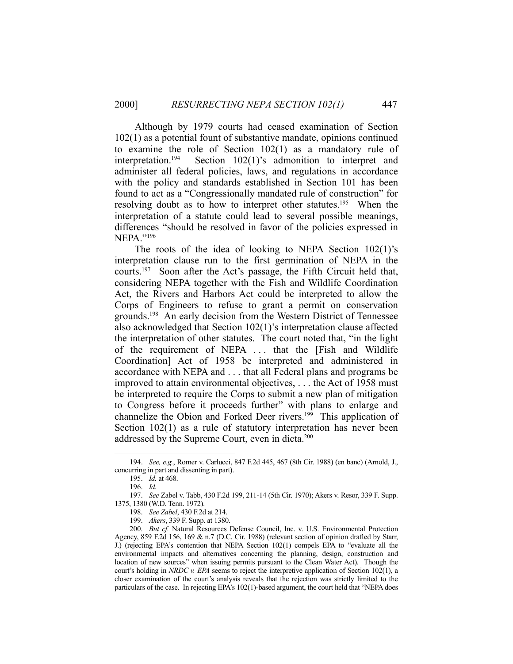Although by 1979 courts had ceased examination of Section 102(1) as a potential fount of substantive mandate, opinions continued to examine the role of Section 102(1) as a mandatory rule of interpretation.194 Section 102(1)'s admonition to interpret and administer all federal policies, laws, and regulations in accordance with the policy and standards established in Section 101 has been found to act as a "Congressionally mandated rule of construction" for resolving doubt as to how to interpret other statutes.<sup>195</sup> When the interpretation of a statute could lead to several possible meanings, differences "should be resolved in favor of the policies expressed in NEPA."196

The roots of the idea of looking to NEPA Section  $102(1)$ 's interpretation clause run to the first germination of NEPA in the courts.197 Soon after the Act's passage, the Fifth Circuit held that, considering NEPA together with the Fish and Wildlife Coordination Act, the Rivers and Harbors Act could be interpreted to allow the Corps of Engineers to refuse to grant a permit on conservation grounds.198 An early decision from the Western District of Tennessee also acknowledged that Section 102(1)'s interpretation clause affected the interpretation of other statutes. The court noted that, "in the light of the requirement of NEPA . . . that the [Fish and Wildlife Coordination] Act of 1958 be interpreted and administered in accordance with NEPA and . . . that all Federal plans and programs be improved to attain environmental objectives, . . . the Act of 1958 must be interpreted to require the Corps to submit a new plan of mitigation to Congress before it proceeds further" with plans to enlarge and channelize the Obion and Forked Deer rivers.<sup>199</sup> This application of Section 102(1) as a rule of statutory interpretation has never been addressed by the Supreme Court, even in dicta.<sup>200</sup>

 <sup>194.</sup> *See, e.g.*, Romer v. Carlucci, 847 F.2d 445, 467 (8th Cir. 1988) (en banc) (Arnold, J., concurring in part and dissenting in part).

 <sup>195.</sup> *Id.* at 468.

 <sup>196.</sup> *Id.*

 <sup>197.</sup> *See* Zabel v. Tabb, 430 F.2d 199, 211-14 (5th Cir. 1970); Akers v. Resor, 339 F. Supp. 1375, 1380 (W.D. Tenn. 1972).

 <sup>198.</sup> *See Zabel*, 430 F.2d at 214.

 <sup>199.</sup> *Akers*, 339 F. Supp. at 1380.

<sup>200.</sup> *But cf.* Natural Resources Defense Council, Inc. v. U.S. Environmental Protection Agency, 859 F.2d 156, 169 & n.7 (D.C. Cir. 1988) (relevant section of opinion drafted by Starr, J.) (rejecting EPA's contention that NEPA Section 102(1) compels EPA to "evaluate all the environmental impacts and alternatives concerning the planning, design, construction and location of new sources" when issuing permits pursuant to the Clean Water Act). Though the court's holding in *NRDC v. EPA* seems to reject the interpretive application of Section 102(1), a closer examination of the court's analysis reveals that the rejection was strictly limited to the particulars of the case. In rejecting EPA's 102(1)-based argument, the court held that "NEPA does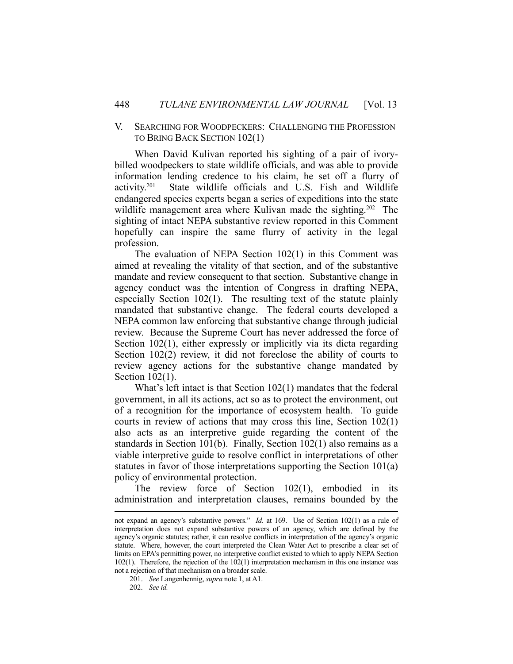#### V. SEARCHING FOR WOODPECKERS: CHALLENGING THE PROFESSION TO BRING BACK SECTION 102(1)

 When David Kulivan reported his sighting of a pair of ivorybilled woodpeckers to state wildlife officials, and was able to provide information lending credence to his claim, he set off a flurry of activity.201 State wildlife officials and U.S. Fish and Wildlife endangered species experts began a series of expeditions into the state wildlife management area where Kulivan made the sighting.<sup>202</sup> The sighting of intact NEPA substantive review reported in this Comment hopefully can inspire the same flurry of activity in the legal profession.

 The evaluation of NEPA Section 102(1) in this Comment was aimed at revealing the vitality of that section, and of the substantive mandate and review consequent to that section. Substantive change in agency conduct was the intention of Congress in drafting NEPA, especially Section 102(1). The resulting text of the statute plainly mandated that substantive change. The federal courts developed a NEPA common law enforcing that substantive change through judicial review. Because the Supreme Court has never addressed the force of Section 102(1), either expressly or implicitly via its dicta regarding Section 102(2) review, it did not foreclose the ability of courts to review agency actions for the substantive change mandated by Section 102(1).

 What's left intact is that Section 102(1) mandates that the federal government, in all its actions, act so as to protect the environment, out of a recognition for the importance of ecosystem health. To guide courts in review of actions that may cross this line, Section 102(1) also acts as an interpretive guide regarding the content of the standards in Section 101(b). Finally, Section 102(1) also remains as a viable interpretive guide to resolve conflict in interpretations of other statutes in favor of those interpretations supporting the Section 101(a) policy of environmental protection.

 The review force of Section 102(1), embodied in its administration and interpretation clauses, remains bounded by the

not expand an agency's substantive powers." *Id.* at 169. Use of Section 102(1) as a rule of interpretation does not expand substantive powers of an agency, which are defined by the agency's organic statutes; rather, it can resolve conflicts in interpretation of the agency's organic statute. Where, however, the court interpreted the Clean Water Act to prescribe a clear set of limits on EPA's permitting power, no interpretive conflict existed to which to apply NEPA Section 102(1). Therefore, the rejection of the 102(1) interpretation mechanism in this one instance was not a rejection of that mechanism on a broader scale.

 <sup>201.</sup> *See* Langenhennig, *supra* note 1, at A1.

 <sup>202.</sup> *See id.*